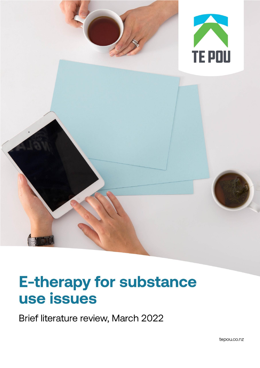

# **E-therapy for substance** use issues

Brief literature review, March 2022

tepou.co.nz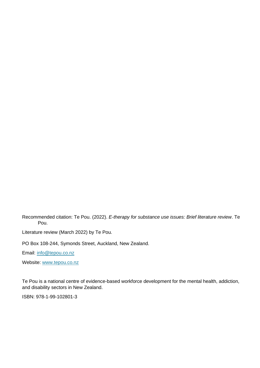Recommended citation: Te Pou. (2022). *E-therapy for substance use issues: Brief literature review*. Te Pou.

Literature review (March 2022) by Te Pou.

PO Box 108-244, Symonds Street, Auckland, New Zealand.

Email: [info@tepou.co.nz](mailto:info@tepou.co.nz)

Website: [www.tepou.co.nz](http://www.tepou.co.nz/)

Te Pou is a national centre of evidence-based workforce development for the mental health, addiction, and disability sectors in New Zealand.

ISBN: 978-1-99-102801-3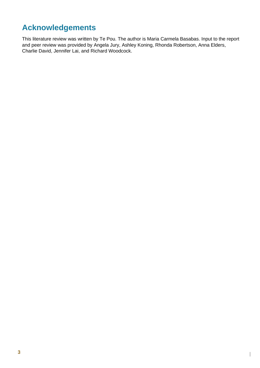# **Acknowledgements**

This literature review was written by Te Pou. The author is Maria Carmela Basabas. Input to the report and peer review was provided by Angela Jury, Ashley Koning, Rhonda Robertson, Anna Elders, Charlie David, Jennifer Lai, and Richard Woodcock.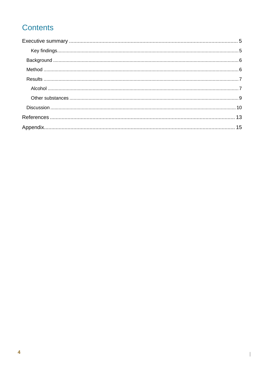# **Contents**

 $\overline{\phantom{a}}$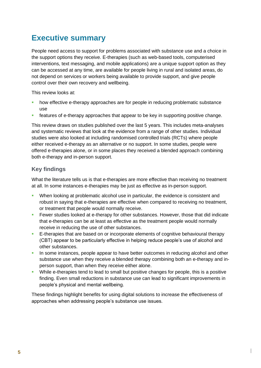# <span id="page-4-0"></span>**Executive summary**

People need access to support for problems associated with substance use and a choice in the support options they receive. E-therapies (such as web-based tools, computerised interventions, text messaging, and mobile applications) are a unique support option as they can be accessed at any time, are available for people living in rural and isolated areas, do not depend on services or workers being available to provide support, and give people control over their own recovery and wellbeing.

This review looks at:

- how effective e-therapy approaches are for people in reducing problematic substance use
- **EXECT** features of e-therapy approaches that appear to be key in supporting positive change.

This review draws on studies published over the last 5 years. This includes meta-analyses and systematic reviews that look at the evidence from a range of other studies. Individual studies were also looked at including randomised controlled trials (RCTs) where people either received e-therapy as an alternative or no support. In some studies, people were offered e-therapies alone, or in some places they received a blended approach combining both e-therapy and in-person support.

#### <span id="page-4-1"></span>**Key findings**

What the literature tells us is that e-therapies are more effective than receiving no treatment at all. In some instances e-therapies may be just as effective as in-person support.

- When looking at problematic alcohol use in particular, the evidence is consistent and robust in saying that e-therapies are effective when compared to receiving no treatment, or treatment that people would normally receive.
- Fewer studies looked at e-therapy for other substances. However, those that did indicate that e-therapies can be at least as effective as the treatment people would normally receive in reducing the use of other substances.
- **E**-therapies that are based on or incorporate elements of cognitive behavioural therapy (CBT) appear to be particularly effective in helping reduce people's use of alcohol and other substances.
- **In some instances, people appear to have better outcomes in reducing alcohol and other** substance use when they receive a blended therapy combining both an e-therapy and inperson support, than when they receive either alone.
- **While e-therapies tend to lead to small but positive changes for people, this is a positive** finding. Even small reductions in substance use can lead to significant improvements in people's physical and mental wellbeing.

These findings highlight benefits for using digital solutions to increase the effectiveness of approaches when addressing people's substance use issues.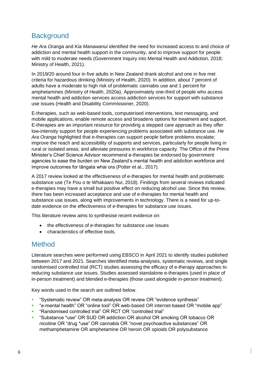## <span id="page-5-0"></span>**Background**

*He Ara Oranga* and *Kia Manawanui* identified the need for increased access to and choice of addiction and mental health support in the community, and to improve support for people with mild to moderate needs (Government Inquiry into Mental Health and Addiction, 2018; Ministry of Health, 2021).

In 2019/20 around four in five adults in New Zealand drank alcohol and one in five met criteria for hazardous drinking (Ministry of Health, 2020). In addition, about 7 percent of adults have a moderate to high risk of problematic cannabis use and 1 percent for amphetamines (Ministry of Health, 2020a). Approximately one-third of people who access mental health and addiction services access addiction services for support with substance use issues (Health and Disability Commissioner, 2020).

E-therapies, such as web-based tools, computerised interventions, text messaging, and mobile applications, enable remote access and broadens options for treatment and support. E-therapies are an important resource for providing a stepped care approach as they offer low-intensity support for people experiencing problems associated with substance use. *He Ara Oranga* highlighted that e-therapies can support people before problems escalate; improve the reach and accessibility of supports and services, particularly for people living in rural or isolated areas; and alleviate pressures in workforce capacity. The Office of the Prime Minister's Chief Science Advisor recommend e-therapies be endorsed by government agencies to ease the burden on New Zealand's mental health and addiction workforce and improve outcomes for tāngata whai ora (Potter et al., 2017).

A 2017 review looked at the effectiveness of e-therapies for mental health and problematic substance use (Te Pou o te Whakaaro Nui, 2018). Findings from several reviews indicated e-therapies may have a small but positive effect on reducing alcohol use. Since this review, there has been increased acceptance and use of e-therapies for mental health and substance use issues, along with improvements in technology. There is a need for up-todate evidence on the effectiveness of e-therapies for substance use issues.

This literature review aims to synthesise recent evidence on:

- the effectiveness of e-therapies for substance use issues
- characteristics of effective tools.

### <span id="page-5-1"></span>Method

Literature searches were performed using EBSCO in April 2021 to identify studies published between 2017 and 2021. Searches identified meta-analyses, systematic reviews, and single randomised controlled trial (RCT) studies assessing the efficacy of e-therapy approaches to reducing substance use issues. Studies assessed standalone e-therapies (used in place of in-person treatment) and blended e-therapies (those used alongside in-person treatment).

Key words used in the search are outlined below.

- "Systematic review" OR meta-analysis OR review OR "evidence synthesis"
- "e-mental health" OR "online tool" OR web-based OR internet-based OR "mobile app"

- "Randomised controlled trial" OR RCT OR "controlled trial"
- "Substance \*use" OR SUD OR addiction OR alcohol OR smoking OR tobacco OR nicotine OR "drug \*use" OR cannabis OR "novel psychoactive substances" OR methamphetamine OR amphetamine OR heroin OR opioids OR polysubstance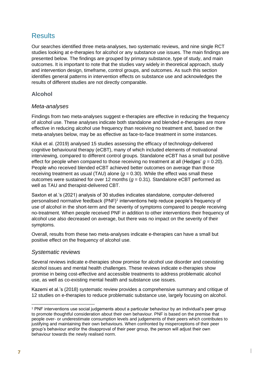## <span id="page-6-0"></span>**Results**

Our searches identified three meta-analyses, two systematic reviews, and nine single RCT studies looking at e-therapies for alcohol or any substance use issues. The main findings are presented below. The findings are grouped by primary substance, type of study, and main outcomes. It is important to note that the studies vary widely in theoretical approach, study and intervention design, timeframe, control groups, and outcomes. As such this section identifies general patterns in intervention effects on substance use and acknowledges the results of different studies are not directly comparable.

#### <span id="page-6-1"></span>**Alcohol**

#### *Meta-analyses*

Findings from two meta-analyses suggest e-therapies are effective in reducing the frequency of alcohol use. These analyses indicate both standalone and blended e-therapies are more effective in reducing alcohol use frequency than receiving no treatment and, based on the meta-analyses below, may be as effective as face-to-face treatment in some instances.

Kiluk et al. (2019) analysed 15 studies assessing the efficacy of technology-delivered cognitive behavioural therapy (eCBT), many of which included elements of motivational interviewing, compared to different control groups. Standalone eCBT has a small but positive effect for people when compared to those receiving no treatment at all (Hedges' *g* = 0.20). People who received blended eCBT achieved better outcomes on average than those receiving treatment as usual (TAU) alone  $(g = 0.30)$ . While the effect was small these outcomes were sustained for over 12 months  $(q = 0.31)$ . Standalone eCBT performed as well as TAU and therapist-delivered CBT.

Saxton et al.'s (2021) analysis of 30 studies indicates standalone, computer-delivered personalised normative feedback (PNF)<sup>1</sup> interventions help reduce people's frequency of use of alcohol in the short-term and the severity of symptoms compared to people receiving no-treatment. When people received PNF in addition to other interventions their frequency of alcohol use also decreased on average, but there was no impact on the severity of their symptoms.

Overall, results from these two meta-analyses indicate e-therapies can have a small but positive effect on the frequency of alcohol use.

#### *Systematic reviews*

Several reviews indicate e-therapies show promise for alcohol use disorder and coexisting alcohol issues and mental health challenges. These reviews indicate e-therapies show promise in being cost-effective and accessible treatments to address problematic alcohol use, as well as co-existing mental health and substance use issues.

Kazemi et al.'s (2018) systematic review provides a comprehensive summary and critique of 12 studies on e-therapies to reduce problematic substance use, largely focusing on alcohol.

<sup>1</sup> PNF interventions use social judgements about a particular behaviour by an individual's peer group to promote thoughtful consideration about their own behaviour. PNF is based on the premise that people over- or underestimate consumption levels and judgements of their peers which contributes to justifying and maintaining their own behaviours. When confronted by misperceptions of their peer group's behaviour and/or the disapproval of their peer group, the person will adjust their own behaviour towards the newly realised norm.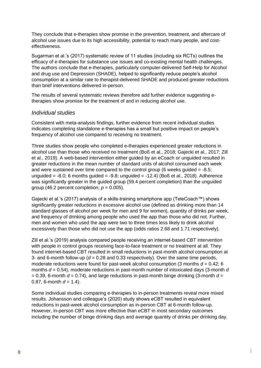They conclude that e-therapies show promise in the prevention, treatment, and aftercare of alcohol use issues due to its high accessibility, potential to reach many people, and costeffectiveness.

Sugarman et al.'s (2017) systematic review of 11 studies (including six RCTs) outlines the efficacy of e-therapies for substance use issues and co-existing mental health challenges. The authors conclude that e-therapies, particularly computer-delivered Self-Help for Alcohol and drug use and Depression (SHADE), helped to significantly reduce people's alcohol consumption at a similar rate to therapist-delivered SHADE and produced greater reductions than brief interventions delivered in-person.

The results of several systematic reviews therefore add further evidence suggesting etherapies show promise for the treatment of and in reducing alcohol use.

#### *Individual studies*

Consistent with meta-analysis findings, further evidence from recent individual studies indicates completing standalone e-therapies has a small but positive impact on people's frequency of alcohol use compared to receiving no treatment.

Three studies show people who completed e-therapies experienced greater reductions in alcohol use than those who received no treatment (Boß et al., 2018; Gajecki et al., 2017; Zill et al., 2019). A web-based intervention either guided by an eCoach or unguided resulted in greater reductions in the mean number of standard units of alcohol consumed each week and were sustained over time compared to the control group (6 weeks guided  $= -8.5$ ; unguided =  $-8.0$ ; 6 months guided =  $-9.8$ ; unguided =  $-12.4$ ) (Boß et al., 2018). Adherence was significantly greater in the guided group (59.4 percent completion) than the unguided group (46.2 percent completion;  $p = 0.005$ ).

Gajecki et al.'s (2017) analysis of a skills-training smartphone app (TeleCoach™) shows significantly greater reductions in excessive alcohol use (defined as drinking more than 14 standard glasses of alcohol per week for men and 9 for women), quantity of drinks per week, and frequency of drinking among people who used the app than those who did not. Further, men and women who used the app were two to three times less likely to drink alcohol excessively than those who did not use the app (odds ratios 2.68 and 1.71 respectively).

Zill et al.'s (2019) analysis compared people receiving an internet-based CBT intervention with people in control groups receiving face-to-face treatment or no treatment at all. They found internet-based CBT resulted in small reductions in past-month alcohol consumption at 3- and 6-month follow-up ( $d = 0.28$  and 0.33 respectively). Over the same time periods, moderate reductions were found for past-week alcohol consumption (3 months  $d = 0.42$ ; 6 months *d* = 0.54), moderate reductions in past-month number of intoxicated days (3-month *d*   $= 0.39$ , 6-month  $d = 0.74$ ), and large reductions in past-month binge drinking (3-month  $d =$ 0.87, 6-month  $d = 1.4$ ).

Some individual studies comparing e-therapies to in-person treatments reveal more mixed results. Johansson and colleague's (2020) study shows eCBT resulted in equivalent reductions in past-week alcohol consumption as in-person CBT at 6-month follow-up. However, in-person CBT was more effective than eCBT in most secondary outcomes including the number of binge drinking days and average quantity of drinks per drinking day.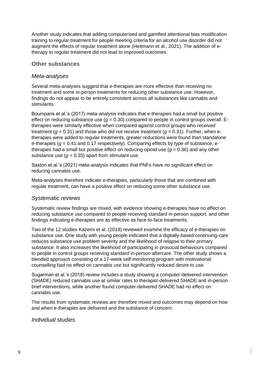Another study indicates that adding computerised and gamified attentional bias modification training to regular treatment for people meeting criteria for an alcohol use disorder did not augment the effects of regular treatment alone (Heitmann et al., 2021). The addition of etherapy to regular treatment did not lead to improved outcomes.

#### <span id="page-8-0"></span>**Other substances**

#### *Meta-analyses*

Several meta-analyses suggest that e-therapies are more effective than receiving no treatment and some in-person treatments for reducing other substance use. However, findings do not appear to be entirely consistent across all substances like cannabis and stimulants.

Boumparis et al.'s (2017) meta-analysis indicates that e-therapies had a small but positive effect on reducing substance use  $(q = 0.30)$  compared to people in control groups overall. Etherapies were similarly effective when compared against control groups who received treatment ( $q = 0.31$ ) and those who did not receive treatment ( $q = 0.31$ ). Further, when etherapies were added to regular treatments, greater reductions were found than standalone e-therapies ( $q = 0.41$  and 0.17 respectively). Comparing effects by type of substance, etherapies had a small but positive effect on reducing opioid use (*g* = 0.36) and any other substance use  $(q = 0.35)$  apart from stimulant use.

Saxton et al.'s (2021) meta-analysis indicates that PNFs have no significant effect on reducing cannabis use.

Meta-analyses therefore indicate e-therapies, particularly those that are combined with regular treatment, can have a positive effect on reducing some other substance use.

#### *Systematic reviews*

Systematic review findings are mixed, with evidence showing e-therapies have no effect on reducing substance use compared to people receiving standard in-person support, and other findings indicating e-therapies are as effective as face-to-face treatments.

Two of the 12 studies Kazemi et al. (2018) reviewed examine the efficacy of e-therapies on substance use. One study with young people indicated that a digitally-based continuing-care reduces substance use problem severity and the likelihood of relapse to their primary substance. It also increases the likelihood of participating in prosocial behaviours compared to people in control groups receiving standard in-person aftercare. The other study shows a blended approach consisting of a 17-week self-monitoring program with motivational counselling had no effect on cannabis use but significantly reduced desire to use.

Sugarman et al.'s (2018) review includes a study showing a computer-delivered intervention (SHADE) reduced cannabis use at similar rates to therapist-delivered SHADE and in-person brief interventions, while another found computer-delivered SHADE had no effect on cannabis use.

The results from systematic reviews are therefore mixed and outcomes may depend on how and when e-therapies are delivered and the substance of concern.

|

#### *Individual studies*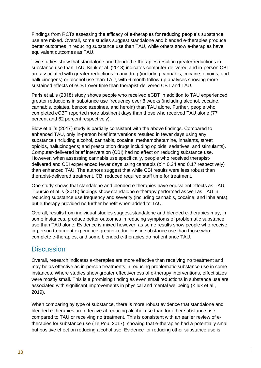Findings from RCTs assessing the efficacy of e-therapies for reducing people's substance use are mixed. Overall, some studies suggest standalone and blended e-therapies produce better outcomes in reducing substance use than TAU, while others show e-therapies have equivalent outcomes as TAU.

Two studies show that standalone and blended e-therapies result in greater reductions in substance use than TAU. Kiluk et al. (2018) indicates computer-delivered and in-person CBT are associated with greater reductions in any drug (including cannabis, cocaine, opioids, and hallucinogens) or alcohol use than TAU, with 6 month follow-up analyses showing more sustained effects of eCBT over time than therapist-delivered CBT and TAU.

Paris et al.'s (2018) study shows people who received eCBT in addition to TAU experienced greater reductions in substance use frequency over 8 weeks (including alcohol, cocaine, cannabis, opiates, benzodiazepines, and heroin) than TAU alone. Further, people who completed eCBT reported more abstinent days than those who received TAU alone (77 percent and 62 percent respectively).

Blow et al.'s (2017) study is partially consistent with the above findings. Compared to enhanced TAU, only in-person brief interventions resulted in fewer days using any substance (including alcohol, cannabis, cocaine, methamphetamine, inhalants, street opioids, hallucinogens; and prescription drugs including opioids, sedatives, and stimulants). Computer-delivered brief intervention (CBI) had no effect on reducing substance use. However, when assessing cannabis use specifically, people who received therapistdelivered and CBI experienced fewer days using cannabis (*d* = 0.24 and 0.17 respectively) than enhanced TAU. The authors suggest that while CBI results were less robust than therapist-delivered treatment, CBI reduced required staff time for treatment.

One study shows that standalone and blended e-therapies have equivalent effects as TAU. Tiburcio et al.'s (2018) findings show standalone e-therapy performed as well as TAU in reducing substance use frequency and severity (including cannabis, cocaine, and inhalants), but e-therapy provided no further benefit when added to TAU.

Overall, results from individual studies suggest standalone and blended e-therapies may, in some instances, produce better outcomes in reducing symptoms of problematic substance use than TAU alone. Evidence is mixed however, as some results show people who receive in-person treatment experience greater reductions in substance use than those who complete e-therapies, and some blended e-therapies do not enhance TAU.

### <span id="page-9-0"></span>**Discussion**

Overall, research indicates e-therapies are more effective than receiving no treatment and may be as effective as in-person treatments in reducing problematic substance use in some instances. Where studies show greater effectiveness of e-therapy interventions, effect sizes were mostly small. This is a promising finding as even small reductions in substance use are associated with significant improvements in physical and mental wellbeing (Kiluk et al., 2019).

When comparing by type of substance, there is more robust evidence that standalone and blended e-therapies are effective at reducing alcohol use than for other substance use compared to TAU or receiving no treatment. This is consistent with an earlier review of etherapies for substance use (Te Pou, 2017), showing that e-therapies had a potentially small but positive effect on reducing alcohol use. Evidence for reducing other substance use is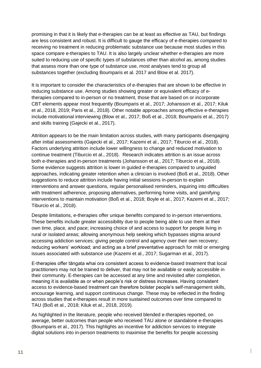promising in that it is likely that e-therapies can be at least as effective as TAU, but findings are less consistent and robust. It is difficult to gauge the efficacy of e-therapies compared to receiving no treatment in reducing problematic substance use because most studies in this space compare e-therapies to TAU. It is also largely unclear whether e-therapies are more suited to reducing use of specific types of substances other than alcohol as, among studies that assess more than one type of substance use, most analyses tend to group all substances together (excluding Boumparis et al. 2017 and Blow et al. 2017).

It is important to consider the characteristics of e-therapies that are shown to be effective in reducing substance use. Among studies showing greater or equivalent efficacy of etherapies compared to in-person or no treatment, those that are based on or incorporate CBT elements appear most frequently (Boumparis et al., 2017; Johansson et al., 2017; Kiluk et al., 2018, 2019; Paris et al., 2018). Other notable approaches among effective e-therapies include motivational interviewing (Blow et al., 2017; Boß et al., 2018; Boumparis et al., 2017) and skills training (Gajecki et al., 2017).

Attrition appears to be the main limitation across studies, with many participants disengaging after initial assessments (Gajecki et al., 2017; Kazemi et al., 2017; Tiburcio et al., 2018). Factors underlying attrition include lower willingness to change and reduced motivation to continue treatment (Tiburcio et al., 2018). Research indicates attrition is an issue across both e-therapies and in-person treatments (Johansson et al., 2017; Tiburcio et al., 2018). Some evidence suggests attrition is lower in guided e-therapies compared to unguided approaches, indicating greater retention when a clinician is involved (Boß et al., 2018). Other suggestions to reduce attrition include having initial sessions in-person to explain interventions and answer questions, regular personalised reminders, inquiring into difficulties with treatment adherence, proposing alternatives, performing home visits, and gamifying interventions to maintain motivation (Boß et al., 2018; Boyle et al., 2017; Kazemi et al., 2017; Tiburcio et al., 2018).

Despite limitations, e-therapies offer unique benefits compared to in-person interventions. These benefits include greater accessibility due to people being able to use them at their own time, place, and pace; increasing choice of and access to support for people living in rural or isolated areas; allowing anonymous help seeking which bypasses stigma around accessing addiction services; giving people control and agency over their own recovery; reducing workers' workload; and acting as a brief preventative approach for mild or emerging issues associated with substance use (Kazemi et al., 2017; Sugarman et al., 2017).

E-therapies offer tāngata whai ora consistent access to evidence-based treatment that local practitioners may not be trained to deliver, that may not be available or easily accessible in their community. E-therapies can be accessed at any time and revisited after completion, meaning it is available as or when people's risk or distress increases. Having consistent access to evidence-based treatment can therefore bolster people's self-management skills, encourage learning, and support continuous change. These may be reflected in the finding across studies that e-therapies result in more sustained outcomes over time compared to TAU (Boß et al., 2018; Kiluk et al., 2018, 2019).

As highlighted in the literature, people who received blended e-therapies reported, on average, better outcomes than people who received TAU alone or standalone e-therapies (Boumparis et al., 2017). This highlights an incentive for addiction services to integrate digital solutions into in-person treatments to maximise the benefits for people accessing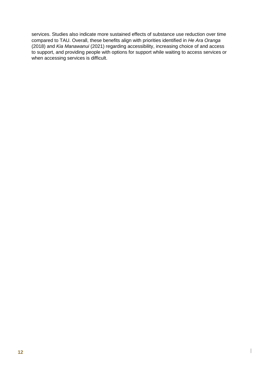services. Studies also indicate more sustained effects of substance use reduction over time compared to TAU. Overall, these benefits align with priorities identified in *He Ara Oranga* (2018) and *Kia Manawanui* (2021) regarding accessibility, increasing choice of and access to support, and providing people with options for support while waiting to access services or when accessing services is difficult.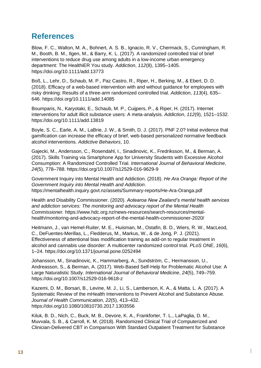# <span id="page-12-0"></span>**References**

Blow, F. C., Walton, M. A., Bohnert, A. S. B., Ignacio, R. V., Chermack, S., Cunningham, R. M., Booth, B. M., Ilgen, M., & Barry, K. L. (2017). A randomized controlled trial of brief interventions to reduce drug use among adults in a low-income urban emergency department: The HealthiER You study. *Addiction*, *112*(8), 1395–1405. https://doi.org/10.1111/add.13773

Boß, L., Lehr, D., Schaub, M. P., Paz Castro, R., Riper, H., Berking, M., & Ebert, D. D. (2018). Efficacy of a web‐based intervention with and without guidance for employees with risky drinking: Results of a three‐arm randomized controlled trial. *Addiction*, *113*(4), 635– 646. https://doi.org/10.1111/add.14085

Boumparis, N., Karyotaki, E., Schaub, M. P., Cuijpers, P., & Riper, H. (2017). Internet interventions for adult illicit substance users: A meta-analysis. *Addiction*, *112*(9), 1521–1532. https://doi.org/10.1111/add.13819

Boyle, S. C., Earle, A. M., LaBrie, J. W., & Smith, D. J. (2017). PNF 2.0? Initial evidence that gamification can increase the efficacy of brief, web-based personalized normative feedback alcohol interventions. *Addictive Behaviors*, 10.

Gajecki, M., Andersson, C., Rosendahl, I., Sinadinovic, K., Fredriksson, M., & Berman, A. (2017). Skills Training via Smartphone App for University Students with Excessive Alcohol Consumption: A Randomized Controlled Trial. *International Journal of Behavioral Medicine*, *24*(5), 778–788. https://doi.org/10.1007/s12529-016-9629-9

Government Inquiry into Mental Health and Addiction. (2018). *He Ara Oranga: Report of the Government Inquiry into Mental Health and Addiction*. https://mentalhealth.inquiry.govt.nz/assets/Summary-reports/He-Ara-Oranga.pdf

Health and Disability Commissioner. (2020). *Aotearoa New Zealand's mental health services and addiction services: The monitoring and advocacy report of the Mental Health Commissioner.* https://www.hdc.org.nz/news-resources/search-resources/mentalhealth/monitoring-and-advocacy-report-of-the-mental-health-commissioner-2020/

Heitmann, J., van Hemel-Ruiter, M. E., Huisman, M., Ostafin, B. D., Wiers, R. W., MacLeod, C., DeFuentes-Merillas, L., Fledderus, M., Markus, W., & de Jong, P. J. (2021). Effectiveness of attentional bias modification training as add-on to regular treatment in alcohol and cannabis use disorder: A multicenter randomized control trial. *PLoS ONE*, *16*(6), 1–24. https://doi.org/10.1371/journal.pone.0252494

Johansson, M., Sinadinovic, K., Hammarberg, A., Sundström, C., Hermansson, U., Andreasson, S., & Berman, A. (2017). Web-Based Self-Help for Problematic Alcohol Use: A Large Naturalistic Study. *International Journal of Behavioral Medicine*, *24*(5), 749–759. https://doi.org/10.1007/s12529-016-9618-z

Kazemi, D. M., Borsari, B., Levine, M. J., Li, S., Lamberson, K. A., & Matta, L. A. (2017). A Systematic Review of the mHealth Interventions to Prevent Alcohol and Substance Abuse. *Journal of Health Communication*, *22*(5), 413–432. https://doi.org/10.1080/10810730.2017.1303556

Kiluk, B. D., Nich, C., Buck, M. B., Devore, K. A., Frankforter, T. L., LaPaglia, D. M., Muvvala, S. B., & Carroll, K. M. (2018). Randomized Clinical Trial of Computerized and Clinician-Delivered CBT in Comparison With Standard Outpatient Treatment for Substance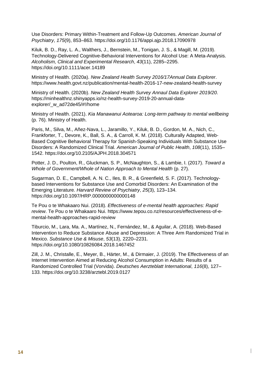Use Disorders: Primary Within-Treatment and Follow-Up Outcomes. *American Journal of Psychiatry*, *175*(9), 853–863. https://doi.org/10.1176/appi.ajp.2018.17090978

Kiluk, B. D., Ray, L. A., Walthers, J., Bernstein, M., Tonigan, J. S., & Magill, M. (2019). Technology-Delivered Cognitive-Behavioral Interventions for Alcohol Use: A Meta-Analysis. *Alcoholism, Clinical and Experimental Research*, *43*(11), 2285–2295. https://doi.org/10.1111/acer.14189

Ministry of Health. (2020a). *New Zealand Health Survey 2016/17Annual Data Explorer*. https://www.health.govt.nz/publication/mental-health-2016-17-new-zealand-health-survey

Ministry of Health. (2020b). *New Zealand Health Survey Annaul Data Explorer 2019/20*. https://minhealthnz.shinyapps.io/nz-health-survey-2019-20-annual-dataexplorer/ w ad72de45/#!/home

Ministry of Health. (2021). *Kia Manawanui Aotearoa: Long-term pathway to mental wellbeing* (p. 76). Ministry of Health.

Paris, M., Silva, M., Añez-Nava, L., Jaramillo, Y., Kiluk, B. D., Gordon, M. A., Nich, C., Frankforter, T., Devore, K., Ball, S. A., & Carroll, K. M. (2018). Culturally Adapted, Web-Based Cognitive Behavioral Therapy for Spanish-Speaking Individuals With Substance Use Disorders: A Randomized Clinical Trial. *American Journal of Public Health*, *108*(11), 1535– 1542. https://doi.org/10.2105/AJPH.2018.304571

Potter, J. D., Poulton, R., Gluckman, S. P., McNaughton, S., & Lambie, I. (2017). *Toward a Whole of Government/Whole of Nation Approach to Mental Health* (p. 27).

Sugarman, D. E., Campbell, A. N. C., Iles, B. R., & Greenfield, S. F. (2017). Technologybased Interventions for Substance Use and Comorbid Disorders: An Examination of the Emerging Literature. *Harvard Review of Psychiatry*, *25*(3), 123–134. https://doi.org/10.1097/HRP.0000000000000148

Te Pou o te Whakaaro Nui. (2018). *Effectiveness of e-mental health approaches: Rapid review*. Te Pou o te Whakaaro Nui. https://www.tepou.co.nz/resources/effectiveness-of-emental-health-approaches-rapid-review

Tiburcio, M., Lara, Ma. A., Martínez, N., Fernández, M., & Aguilar, A. (2018). Web-Based Intervention to Reduce Substance Abuse and Depression: A Three Arm Randomized Trial in Mexico. *Substance Use & Misuse*, *53*(13), 2220–2231. https://doi.org/10.1080/10826084.2018.1467452

Zill, J. M., Christalle, E., Meyer, B., Härter, M., & Dirmaier, J. (2019). The Effectiveness of an Internet Intervention Aimed at Reducing Alcohol Consumption in Adults: Results of a Randomized Controlled Trial (Vorvida). *Deutsches Aerzteblatt International*, *116*(8), 127– 133. https://doi.org/10.3238/arztebl.2019.0127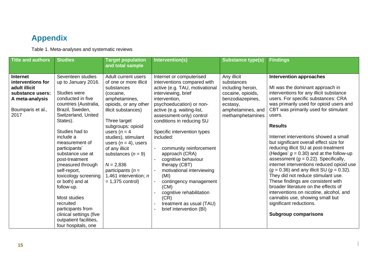# **Appendix**

Table 1. Meta-analyses and systematic reviews

<span id="page-14-0"></span>

| <b>Title and authors</b>                                                                                                  | <b>Studies</b>                                                                                                                                                                                                                                                                                                                                                                                                                                                                                          | <b>Target population</b><br>and total sample                                                                                                                                                                                                                                                                                                                                       | Intervention(s)                                                                                                                                                                                                                                                                                                                                                                                                                                                                                                                                         | <b>Substance type(s)</b>                                                                                                                     | <b>Findings</b>                                                                                                                                                                                                                                                                                                                                                                                                                                                                                                                                                                                                                                                                                                                                                                                                                                      |
|---------------------------------------------------------------------------------------------------------------------------|---------------------------------------------------------------------------------------------------------------------------------------------------------------------------------------------------------------------------------------------------------------------------------------------------------------------------------------------------------------------------------------------------------------------------------------------------------------------------------------------------------|------------------------------------------------------------------------------------------------------------------------------------------------------------------------------------------------------------------------------------------------------------------------------------------------------------------------------------------------------------------------------------|---------------------------------------------------------------------------------------------------------------------------------------------------------------------------------------------------------------------------------------------------------------------------------------------------------------------------------------------------------------------------------------------------------------------------------------------------------------------------------------------------------------------------------------------------------|----------------------------------------------------------------------------------------------------------------------------------------------|------------------------------------------------------------------------------------------------------------------------------------------------------------------------------------------------------------------------------------------------------------------------------------------------------------------------------------------------------------------------------------------------------------------------------------------------------------------------------------------------------------------------------------------------------------------------------------------------------------------------------------------------------------------------------------------------------------------------------------------------------------------------------------------------------------------------------------------------------|
| <b>Internet</b><br>interventions for<br>adult illicit<br>substance users:<br>A meta-analysis<br>Boumparis et al.,<br>2017 | Seventeen studies<br>up to January 2016.<br><b>Studies were</b><br>conducted in five<br>countries (Australia,<br>Brazil, Sweden,<br>Switzerland, United<br>States).<br>Studies had to<br>include a<br>measurement of<br>participants'<br>substance use at<br>post-treatment<br>(measured through<br>self-report,<br>toxicology screening<br>or both) and at<br>follow-up.<br>Most studies<br>recruited<br>participants from<br>clinical settings (five<br>outpatient facilities,<br>four hospitals, one | Adult current users<br>of one or more illicit<br>substances<br>(cocaine,<br>amphetamines,<br>opioids, or any other<br>illicit substances)<br>Three target<br>subgroups: opioid<br>users ( $n = 4$<br>studies), stimulant<br>users $(n = 4)$ , users<br>of any illicit<br>substances $(n = 9)$<br>$N = 2,836$<br>participants $(n =$<br>1,461 intervention; n<br>$= 1,375$ control) | Internet or computerised<br>interventions compared with<br>active (e.g. TAU, motivational<br>interviewing, brief<br>intervention,<br>psychoeducation) or non-<br>active (e.g. waiting-list,<br>assessment-only) control<br>conditions in reducing SU<br>Specific intervention types<br>included:<br>community reinforcement<br>approach (CRA)<br>cognitive behaviour<br>therapy (CBT)<br>motivational interviewing<br>(MI)<br>contingency management<br>(CM)<br>cognitive rehabilitation<br>(CR)<br>treatment as usual (TAU)<br>brief intervention (BI) | Any illicit<br>substances<br>including heroin,<br>cocaine, opioids,<br>benzodiazepines,<br>ecstasy,<br>amphetamines, and<br>methamphetamines | <b>Intervention approaches</b><br>MI was the dominant approach in<br>interventions for any illicit substance<br>users. For specific substances: CRA<br>was primarily used for opioid users and<br>CBT was primarily used for stimulant<br>users.<br><b>Results</b><br>Internet interventions showed a small<br>but significant overall effect size for<br>reducing illicit SU at post-treatment<br>(Hedges' $g = 0.30$ ) and at the follow-up<br>assessment ( $g = 0.22$ ). Specifically,<br>internet interventions reduced opioid use<br>$(g = 0.36)$ and any illicit SU $(g = 0.32)$ .<br>They did not reduce stimulant use.<br>These findings are consistent with<br>broader literature on the effects of<br>interventions on nicotine, alcohol, and<br>cannabis use, showing small but<br>significant reductions.<br><b>Subgroup comparisons</b> |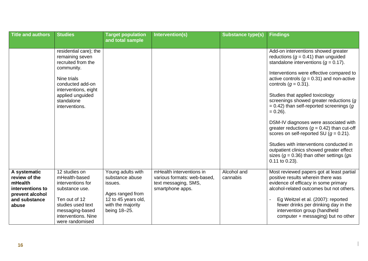| <b>Title and authors</b>                                                                                  | <b>Studies</b>                                                                                                                                                                               | <b>Target population</b>                                                                                                        | Intervention(s)                                                                                     | <b>Substance type(s)</b> | <b>Findings</b>                                                                                                                                                                                                                                                                                                                                                                                                                                                                                                                                                                                                                                                                                         |
|-----------------------------------------------------------------------------------------------------------|----------------------------------------------------------------------------------------------------------------------------------------------------------------------------------------------|---------------------------------------------------------------------------------------------------------------------------------|-----------------------------------------------------------------------------------------------------|--------------------------|---------------------------------------------------------------------------------------------------------------------------------------------------------------------------------------------------------------------------------------------------------------------------------------------------------------------------------------------------------------------------------------------------------------------------------------------------------------------------------------------------------------------------------------------------------------------------------------------------------------------------------------------------------------------------------------------------------|
|                                                                                                           |                                                                                                                                                                                              | and total sample                                                                                                                |                                                                                                     |                          |                                                                                                                                                                                                                                                                                                                                                                                                                                                                                                                                                                                                                                                                                                         |
|                                                                                                           | residential care); the<br>remaining seven<br>recruited from the<br>community.<br>Nine trials<br>conducted add-on<br>interventions, eight<br>applied unguided<br>standalone<br>interventions. |                                                                                                                                 |                                                                                                     |                          | Add-on interventions showed greater<br>reductions ( $q = 0.41$ ) than unguided<br>standalone interventions ( $q = 0.17$ ).<br>Interventions were effective compared to<br>active controls ( $g = 0.31$ ) and non-active<br>controls $(g = 0.31)$ .<br>Studies that applied toxicology<br>screenings showed greater reductions (g<br>$= 0.42$ ) than self-reported screenings (g<br>$= 0.26$ ).<br>DSM-IV diagnoses were associated with<br>greater reductions ( $q = 0.42$ ) than cut-off<br>scores on self-reported SU $(g = 0.21)$ .<br>Studies with interventions conducted in<br>outpatient clinics showed greater effect<br>sizes ( $g = 0.36$ ) than other settings ( $gs$<br>$0.11$ to $0.23$ ). |
| A systematic<br>review of the<br>mHealth<br>interventions to<br>prevent alcohol<br>and substance<br>abuse | 12 studies on<br>mHealth-based<br>interventions for<br>substance use.<br>Ten out of 12<br>studies used text<br>messaging-based<br>interventions. Nine<br>were randomised                     | Young adults with<br>substance abuse<br>issues.<br>Ages ranged from<br>12 to 45 years old,<br>with the majority<br>being 18-25. | mHealth interventions in<br>various formats: web-based,<br>text messaging, SMS,<br>smartphone apps. | Alcohol and<br>cannabis  | Most reviewed papers got at least partial<br>positive results wherein there was<br>evidence of efficacy in some primary<br>alcohol-related outcomes but not others.<br>Eg Weitzel et al. (2007): reported<br>fewer drinks per drinking day in the<br>intervention group (handheld<br>computer + messaging) but no other                                                                                                                                                                                                                                                                                                                                                                                 |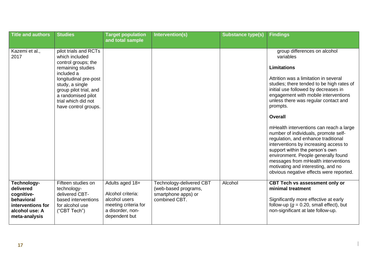| <b>Title and authors</b>                                                                      | <b>Studies</b>                                                                                                                                                                                                                               | <b>Target population</b><br>and total sample                                                    | Intervention(s)                                              | <b>Substance type(s)</b> | <b>Findings</b>                                                                                                                                                                                                                                                                                                                                                                                                                                                                                                                                                                                                                                                                  |
|-----------------------------------------------------------------------------------------------|----------------------------------------------------------------------------------------------------------------------------------------------------------------------------------------------------------------------------------------------|-------------------------------------------------------------------------------------------------|--------------------------------------------------------------|--------------------------|----------------------------------------------------------------------------------------------------------------------------------------------------------------------------------------------------------------------------------------------------------------------------------------------------------------------------------------------------------------------------------------------------------------------------------------------------------------------------------------------------------------------------------------------------------------------------------------------------------------------------------------------------------------------------------|
|                                                                                               |                                                                                                                                                                                                                                              |                                                                                                 |                                                              |                          |                                                                                                                                                                                                                                                                                                                                                                                                                                                                                                                                                                                                                                                                                  |
| Kazemi et al.,<br>2017                                                                        | pilot trials and RCTs<br>which included<br>control groups; the<br>remaining studies<br>included a<br>longitudinal pre-post<br>study, a single<br>group pilot trial, and<br>a randomised pilot<br>trial which did not<br>have control groups. |                                                                                                 |                                                              |                          | group differences on alcohol<br>variables<br><b>Limitations</b><br>Attrition was a limitation in several<br>studies; there tended to be high rates of<br>initial use followed by decreases in<br>engagement with mobile interventions<br>unless there was regular contact and<br>prompts.<br><b>Overall</b><br>mHealth interventions can reach a large<br>number of individuals, promote self-<br>regulation, and enhance traditional<br>interventions by increasing access to<br>support within the person's own<br>environment. People generally found<br>messages from mHealth interventions<br>motivating and interesting, and no<br>obvious negative effects were reported. |
| Technology-                                                                                   | Fifteen studies on                                                                                                                                                                                                                           | Adults aged 18+                                                                                 | Technology-delivered CBT                                     | Alcohol                  | <b>CBT Tech vs assessment only or</b>                                                                                                                                                                                                                                                                                                                                                                                                                                                                                                                                                                                                                                            |
| delivered<br>cognitive-<br>behavioral<br>interventions for<br>alcohol use: A<br>meta-analysis | technology-<br>delivered CBT-<br>based interventions<br>for alcohol use<br>("CBT Tech")                                                                                                                                                      | Alcohol criteria:<br>alcohol users<br>meeting criteria for<br>a disorder, non-<br>dependent but | (web-based programs,<br>smartphone apps) or<br>combined CBT. |                          | minimal treatment<br>Significantly more effective at early<br>follow-up ( $q = 0.20$ , small effect), but<br>non-significant at late follow-up.                                                                                                                                                                                                                                                                                                                                                                                                                                                                                                                                  |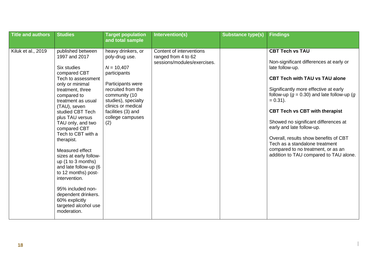| <b>Title and authors</b> | <b>Studies</b>                                                                                                                                                                                                                                                                                                                                                                                                                                                                                                                               | <b>Target population</b><br>and total sample                                                                                                                                                                                   | Intervention(s)                                                                | <b>Substance type(s)</b> | <b>Findings</b>                                                                                                                                                                                                                                                                                                                                                                                                                                                                                                  |
|--------------------------|----------------------------------------------------------------------------------------------------------------------------------------------------------------------------------------------------------------------------------------------------------------------------------------------------------------------------------------------------------------------------------------------------------------------------------------------------------------------------------------------------------------------------------------------|--------------------------------------------------------------------------------------------------------------------------------------------------------------------------------------------------------------------------------|--------------------------------------------------------------------------------|--------------------------|------------------------------------------------------------------------------------------------------------------------------------------------------------------------------------------------------------------------------------------------------------------------------------------------------------------------------------------------------------------------------------------------------------------------------------------------------------------------------------------------------------------|
| Kiluk et al., 2019       | published between<br>1997 and 2017<br>Six studies<br>compared CBT<br>Tech to assessment<br>only or minimal<br>treatment, three<br>compared to<br>treatment as usual<br>(TAU), seven<br>studied CBT Tech<br>plus TAU versus<br>TAU only, and two<br>compared CBT<br>Tech to CBT with a<br>therapist.<br>Measured effect<br>sizes at early follow-<br>up (1 to 3 months)<br>and late follow-up (6<br>to 12 months) post-<br>intervention.<br>95% included non-<br>dependent drinkers.<br>60% explicitly<br>targeted alcohol use<br>moderation. | heavy drinkers, or<br>poly-drug use.<br>$N = 10,407$<br>participants<br>Participants were<br>recruited from the<br>community (10<br>studies), specialty<br>clinics or medical<br>facilities (3) and<br>college campuses<br>(2) | Content of interventions<br>ranged from 4 to 62<br>sessions/modules/exercises. |                          | <b>CBT Tech vs TAU</b><br>Non-significant differences at early or<br>late follow-up.<br><b>CBT Tech with TAU vs TAU alone</b><br>Significantly more effective at early<br>follow-up ( $g = 0.30$ ) and late follow-up (g<br>$= 0.31$ ).<br><b>CBT Tech vs CBT with therapist</b><br>Showed no significant differences at<br>early and late follow-up.<br>Overall, results show benefits of CBT<br>Tech as a standalone treatment<br>compared to no treatment, or as an<br>addition to TAU compared to TAU alone. |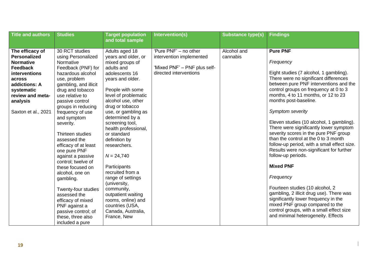| <b>Title and authors</b>                                                                                                                                                                       | <b>Studies</b>                                                                                                                                                                                                                                                        | <b>Target population</b>                                                                                                                                                                                                                                                                                   | Intervention(s)                                                                                             | <b>Substance type(s)</b> | <b>Findings</b>                                                                                                                                                                                                                                                                                                                                                              |
|------------------------------------------------------------------------------------------------------------------------------------------------------------------------------------------------|-----------------------------------------------------------------------------------------------------------------------------------------------------------------------------------------------------------------------------------------------------------------------|------------------------------------------------------------------------------------------------------------------------------------------------------------------------------------------------------------------------------------------------------------------------------------------------------------|-------------------------------------------------------------------------------------------------------------|--------------------------|------------------------------------------------------------------------------------------------------------------------------------------------------------------------------------------------------------------------------------------------------------------------------------------------------------------------------------------------------------------------------|
|                                                                                                                                                                                                |                                                                                                                                                                                                                                                                       |                                                                                                                                                                                                                                                                                                            |                                                                                                             |                          |                                                                                                                                                                                                                                                                                                                                                                              |
| The efficacy of<br><b>Personalized</b><br><b>Normative</b><br><b>Feedback</b><br>interventions<br>across<br>addictions: A<br>systematic<br>review and meta-<br>analysis<br>Saxton et al., 2021 | 30 RCT studies<br>using Personalized<br>Normative<br>Feedback (PNF) for<br>hazardous alcohol<br>use, problem<br>gambling, and illicit<br>drug and tobacco<br>use relative to<br>passive control<br>groups in reducing<br>frequency of use<br>and symptom<br>severity. | and total sample<br>Adults aged 18<br>years and older, or<br>mixed groups of<br>adults and<br>adolescents 16<br>years and older.<br>People with some<br>level of problematic<br>alcohol use, other<br>drug or tobacco<br>use, or gambling as<br>determined by a<br>screening tool,<br>health professional, | 'Pure PNF' - no other<br>intervention implemented<br>'Mixed PNF' - PNF plus self-<br>directed interventions | Alcohol and<br>cannabis  | <b>Pure PNF</b><br>Frequency<br>Eight studies (7 alcohol, 1 gambling).<br>There were no significant differences<br>between pure PNF interventions and the<br>control groups on frequency at 0 to 3<br>months, 4 to 11 months, or 12 to 23<br>months post-baseline.<br>Symptom severity<br>Eleven studies (10 alcohol, 1 gambling).<br>There were significantly lower symptom |
|                                                                                                                                                                                                | Thirteen studies<br>assessed the<br>efficacy of at least<br>one pure PNF<br>against a passive                                                                                                                                                                         | or standard<br>definition by<br>researchers.<br>$N = 24,740$                                                                                                                                                                                                                                               |                                                                                                             |                          | severity scores in the pure PNF group<br>than the control at the 0 to 3 month<br>follow-up period, with a small effect size.<br>Results were non-significant for further<br>follow-up periods.                                                                                                                                                                               |
|                                                                                                                                                                                                | control; twelve of<br>these focused on<br>alcohol, one on<br>gambling.<br>Twenty-four studies<br>assessed the<br>efficacy of mixed<br>PNF against a<br>passive control; of<br>these, three also<br>included a pure                                                    | Participants<br>recruited from a<br>range of settings<br>(university,<br>community,<br>outpatient waiting<br>rooms, online) and<br>countries (USA,<br>Canada, Australia,<br>France, New                                                                                                                    |                                                                                                             |                          | <b>Mixed PNF</b><br>Frequency<br>Fourteen studies (10 alcohol, 2<br>gambling, 2 illicit drug use). There was<br>significantly lower frequency in the<br>mixed PNF group compared to the<br>control groups, with a small effect size<br>and minimal heterogeneity. Effects                                                                                                    |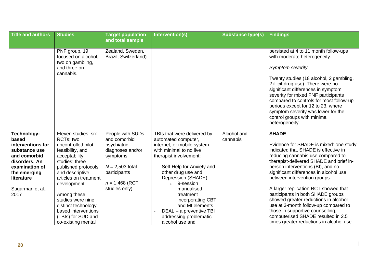| <b>Title and authors</b>                                                                                                                                                | <b>Studies</b>                                                                                                                                                                                                                                                                                                                   | <b>Target population</b>                                                                                                                                  | Intervention(s)                                                                                                                                                                                                                                                                                                                                                                | <b>Substance type(s)</b> | <b>Findings</b>                                                                                                                                                                                                                                                                                                                                                                                                                                                                                                                                                                 |
|-------------------------------------------------------------------------------------------------------------------------------------------------------------------------|----------------------------------------------------------------------------------------------------------------------------------------------------------------------------------------------------------------------------------------------------------------------------------------------------------------------------------|-----------------------------------------------------------------------------------------------------------------------------------------------------------|--------------------------------------------------------------------------------------------------------------------------------------------------------------------------------------------------------------------------------------------------------------------------------------------------------------------------------------------------------------------------------|--------------------------|---------------------------------------------------------------------------------------------------------------------------------------------------------------------------------------------------------------------------------------------------------------------------------------------------------------------------------------------------------------------------------------------------------------------------------------------------------------------------------------------------------------------------------------------------------------------------------|
|                                                                                                                                                                         |                                                                                                                                                                                                                                                                                                                                  | and total sample                                                                                                                                          |                                                                                                                                                                                                                                                                                                                                                                                |                          |                                                                                                                                                                                                                                                                                                                                                                                                                                                                                                                                                                                 |
|                                                                                                                                                                         | PNF group, 19<br>focused on alcohol,<br>two on gambling,<br>and three on<br>cannabis.                                                                                                                                                                                                                                            | Zealand, Sweden,<br>Brazil, Switzerland)                                                                                                                  |                                                                                                                                                                                                                                                                                                                                                                                |                          | persisted at 4 to 11 month follow-ups<br>with moderate heterogeneity.<br><b>Symptom severity</b><br>Twenty studies (18 alcohol, 2 gambling,<br>2 illicit drug use). There were no<br>significant differences in symptom<br>severity for mixed PNF participants<br>compared to controls for most follow-up<br>periods except for 12 to 23, where<br>symptom severity was lower for the<br>control groups with minimal<br>heterogeneity.                                                                                                                                          |
| Technology-<br>based<br>interventions for<br>substance use<br>and comorbid<br>disorders: An<br>examination of<br>the emerging<br>literature<br>Sugarman et al.,<br>2017 | Eleven studies: six<br>RCTs; two<br>uncontrolled pilot,<br>feasibility, and<br>acceptability<br>studies; three<br>published protocols<br>and descriptive<br>articles on treatment<br>development.<br>Among these<br>studies were nine<br>distinct technology-<br>based interventions<br>(TBIs) for SUD and<br>co-existing mental | People with SUDs<br>and comorbid<br>psychiatric<br>diagnoses and/or<br>symptoms<br>$N = 2,503$ total<br>participants<br>$n = 1,468$ (RCT<br>studies only) | TBIs that were delivered by<br>automated computer,<br>internet, or mobile system<br>with minimal to no live<br>therapist involvement:<br>Self-Help for Anxiety and<br>other drug use and<br>Depression (SHADE)<br>$\circ$ 9-session<br>manualised<br>treatment<br>incorporating CBT<br>and MI elements<br>DEAL - a preventive TBI<br>addressing problematic<br>alcohol use and | Alcohol and<br>cannabis  | <b>SHADE</b><br>Evidence for SHADE is mixed: one study<br>indicated that SHADE is effective in<br>reducing cannabis use compared to<br>therapist-delivered SHADE and brief in-<br>person interventions (BI), and no<br>significant differences in alcohol use<br>between intervention groups.<br>A larger replication RCT showed that<br>participants in both SHADE groups<br>showed greater reductions in alcohol<br>use at 3-month follow-up compared to<br>those in supportive counselling,<br>computerised SHADE resulted in 2.5<br>times greater reductions in alcohol use |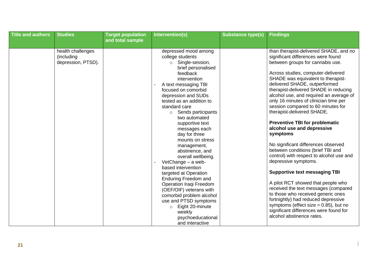| <b>Title and authors</b> | <b>Studies</b>                                        | <b>Target population</b> | Intervention(s)                                                                                                                                                                                                                                                                               | <b>Substance type(s)</b> | <b>Findings</b>                                                                                                                                                                                                                                                                                                                                                                                                                |
|--------------------------|-------------------------------------------------------|--------------------------|-----------------------------------------------------------------------------------------------------------------------------------------------------------------------------------------------------------------------------------------------------------------------------------------------|--------------------------|--------------------------------------------------------------------------------------------------------------------------------------------------------------------------------------------------------------------------------------------------------------------------------------------------------------------------------------------------------------------------------------------------------------------------------|
|                          |                                                       | and total sample         |                                                                                                                                                                                                                                                                                               |                          |                                                                                                                                                                                                                                                                                                                                                                                                                                |
|                          | health challenges<br>(including<br>depression, PTSD). |                          | depressed mood among<br>college students<br>Single-session,<br>$\circ$<br>brief personalised<br>feedback<br>intervention<br>A text messaging TBI<br>focused on comorbid<br>depression and SUDs<br>tested as an addition to<br>standard care<br>Sends participants<br>$\circ$<br>two automated |                          | than therapist-delivered SHADE, and no<br>significant differences were found<br>between groups for cannabis use.<br>Across studies, computer-delivered<br>SHADE was equivalent to therapist-<br>delivered SHADE, outperformed<br>therapist-delivered SHADE in reducing<br>alcohol use, and required an average of<br>only 16 minutes of clinician time per<br>session compared to 60 minutes for<br>therapist-delivered SHADE. |
|                          |                                                       |                          | supportive text<br>messages each<br>day for three<br>mounts on stress<br>management,<br>abstinence, and<br>overall wellbeing.<br>VetChange - a web-<br>based intervention                                                                                                                     |                          | <b>Preventive TBI for problematic</b><br>alcohol use and depressive<br>symptoms<br>No significant differences observed<br>between conditions (brief TBI and<br>control) with respect to alcohol use and<br>depressive symptoms.                                                                                                                                                                                                |
|                          |                                                       |                          | targeted at Operation<br><b>Enduring Freedom and</b><br>Operation Iraqi Freedom<br>(OEF/OIF) veterans with<br>comorbid problem alcohol<br>use and PTSD symptoms<br>Eight 20-minute<br>$\circ$<br>weekly<br>psychoeducational<br>and interactive                                               |                          | <b>Supportive text messaging TBI</b><br>A pilot RCT showed that people who<br>received the text messages (compared<br>to those who received generic ones<br>fortnightly) had reduced depressive<br>symptoms (effect size $= 0.85$ ), but no<br>significant differences were found for<br>alcohol abstinence rates.                                                                                                             |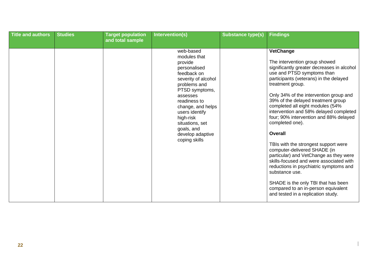| web-based<br><b>VetChange</b><br>modules that<br>The intervention group showed<br>provide<br>significantly greater decreases in alcohol<br>personalised<br>use and PTSD symptoms than<br>feedback on<br>participants (veterans) in the delayed<br>severity of alcohol<br>treatment group.<br>problems and<br>PTSD symptoms,<br>Only 34% of the intervention group and<br>assesses<br>39% of the delayed treatment group<br>readiness to<br>completed all eight modules (54%<br>change, and helps<br>intervention and 58% delayed completed<br>users identify<br>four; 90% intervention and 88% delayed<br>high-risk<br>completed one).<br>situations, set<br>goals, and<br><b>Overall</b><br>develop adaptive<br>coping skills<br>TBIs with the strongest support were<br>computer-delivered SHADE (in<br>particular) and VetChange as they were<br>skills-focused and were associated with | <b>Title and authors</b> | <b>Studies</b> | <b>Target population</b><br>and total sample | Intervention(s) | <b>Substance type(s)</b> | <b>Findings</b>                        |
|---------------------------------------------------------------------------------------------------------------------------------------------------------------------------------------------------------------------------------------------------------------------------------------------------------------------------------------------------------------------------------------------------------------------------------------------------------------------------------------------------------------------------------------------------------------------------------------------------------------------------------------------------------------------------------------------------------------------------------------------------------------------------------------------------------------------------------------------------------------------------------------------|--------------------------|----------------|----------------------------------------------|-----------------|--------------------------|----------------------------------------|
| substance use.<br>SHADE is the only TBI that has been<br>compared to an in-person equivalent<br>and tested in a replication study.                                                                                                                                                                                                                                                                                                                                                                                                                                                                                                                                                                                                                                                                                                                                                          |                          |                |                                              |                 |                          | reductions in psychiatric symptoms and |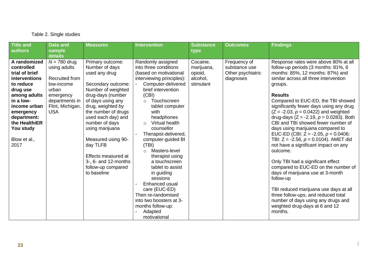### Table 2. Single studies

| <b>Title and</b><br>authors                                                                                                                                                                                           | <b>Data and</b><br>sample<br>details                                                                                                     | <b>Measures</b>                                                                                                                                                                                                                                                                                                                                                        | <b>Intervention</b>                                                                                                                                                                                                                                                                                                                                                                                                                                                                                                                                                             | <b>Substance</b><br>type                                   | <b>Outcomes</b>                                                 | <b>Findings</b>                                                                                                                                                                                                                                                                                                                                                                                                                                                                                                                                                                                                                                                                                                                                                                                                                                                                              |
|-----------------------------------------------------------------------------------------------------------------------------------------------------------------------------------------------------------------------|------------------------------------------------------------------------------------------------------------------------------------------|------------------------------------------------------------------------------------------------------------------------------------------------------------------------------------------------------------------------------------------------------------------------------------------------------------------------------------------------------------------------|---------------------------------------------------------------------------------------------------------------------------------------------------------------------------------------------------------------------------------------------------------------------------------------------------------------------------------------------------------------------------------------------------------------------------------------------------------------------------------------------------------------------------------------------------------------------------------|------------------------------------------------------------|-----------------------------------------------------------------|----------------------------------------------------------------------------------------------------------------------------------------------------------------------------------------------------------------------------------------------------------------------------------------------------------------------------------------------------------------------------------------------------------------------------------------------------------------------------------------------------------------------------------------------------------------------------------------------------------------------------------------------------------------------------------------------------------------------------------------------------------------------------------------------------------------------------------------------------------------------------------------------|
| A randomized<br>controlled<br>trial of brief<br>interventions<br>to reduce<br>drug use<br>among adults<br>in a low-<br>income urban<br>emergency<br>department:<br>the HealthiER<br>You study<br>Blow et al.,<br>2017 | $N = 780$ drug<br>using adults<br>Recruited from<br>low-income<br>urban<br>emergency<br>departments in<br>Flint, Michigan,<br><b>USA</b> | Primary outcome:<br>Number of days<br>used any drug<br>Secondary outcome:<br>Number of weighted<br>drug-days (number<br>of days using any<br>drug, weighted by<br>the number of drugs<br>used each day) and<br>number of days<br>using marijuana<br>Measured using 90-<br>day TLFB<br>Effects measured at<br>3-, 6- and 12-months<br>follow-up compared<br>to baseline | Randomly assigned<br>into three conditions<br>(based on motivational<br>interviewing principles):<br>Computer-delivered<br>brief intervention<br>(CBI)<br>Touchscreen<br>$\circ$<br>tablet computer<br>with<br>headphones<br>Virtual health<br>$\circ$<br>counsellor<br>Therapist-delivered,<br>computer-guided BI<br>(TBI)<br>Masters-level<br>$\bigcap$<br>therapist using<br>a touchscreen<br>tablet to assist<br>in guiding<br>sessions<br>Enhanced usual<br>care (EUC-ED)<br>Then re-randomised<br>into two boosters at 3-<br>months follow-up:<br>Adapted<br>motivational | Cocaine,<br>marijuana,<br>opioid,<br>alcohol,<br>stimulant | Frequency of<br>substance use<br>Other psychiatric<br>diagnoses | Response rates were above 80% at all<br>follow-up periods (3 months: 81%, 6<br>months: 85%, 12 months: 87%) and<br>similar across all three intervention<br>groups.<br><b>Results</b><br>Compared to EUC-ED, the TBI showed<br>significantly fewer days using any drug<br>$(Z = -2.03, p = 0.0422)$ and weighted<br>drug-days ( $Z = -2.19$ , $p = 0.0283$ ). Both<br>CBI and TBI showed fewer number of<br>days using marijuana compared to<br>EUC-ED (CBI: $Z = -2.05$ , $p = 0.0406$ ;<br>TBI: $Z = -2.56$ , $p = 0.0104$ ). AMET did<br>not have a significant impact on any<br>outcome.<br>Only TBI had a significant effect<br>compared to EUC-ED on the number of<br>days of marijuana use at 3-month<br>follow-up<br>TBI reduced marijuana use days at all<br>three follow-ups, and reduced total<br>number of days using any drugs and<br>weighted drug-days at 6 and 12<br>months. |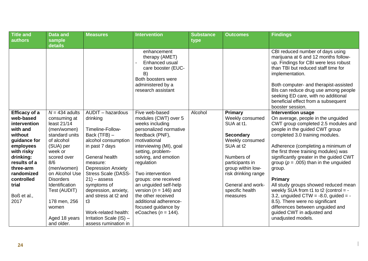| <b>Title and</b><br>authors | <b>Data and</b><br>sample     | <b>Measures</b>                     | <b>Intervention</b>                                                                                                                          | <b>Substance</b><br>type | <b>Outcomes</b>                     | <b>Findings</b>                                                                                                                                                                                                                                                                                                                                                |
|-----------------------------|-------------------------------|-------------------------------------|----------------------------------------------------------------------------------------------------------------------------------------------|--------------------------|-------------------------------------|----------------------------------------------------------------------------------------------------------------------------------------------------------------------------------------------------------------------------------------------------------------------------------------------------------------------------------------------------------------|
|                             | details                       |                                     |                                                                                                                                              |                          |                                     |                                                                                                                                                                                                                                                                                                                                                                |
|                             |                               |                                     | enhancement<br>therapy (AMET)<br>Enhanced usual<br>care booster (EUC-<br>B)<br>Both boosters were<br>administered by a<br>research assistant |                          |                                     | CBI reduced number of days using<br>marijuana at 6 and 12 months follow-<br>up. Findings for CBI were less robust<br>than TBI but reduced staff time for<br>implementation.<br>Both computer- and therapist-assisted<br>Bls can reduce drug use among people<br>seeking ED care, with no additional<br>beneficial effect from a subsequent<br>booster session. |
| <b>Efficacy of a</b>        | $N = 434$ adults              | AUDIT - hazardous                   | Five web-based                                                                                                                               | Alcohol                  | <b>Primary</b>                      | <b>Intervention usage</b>                                                                                                                                                                                                                                                                                                                                      |
| web-based                   | consuming at                  | drinking                            | modules (CWT) over 5                                                                                                                         |                          | Weekly consumed                     | On average, people in the unguided                                                                                                                                                                                                                                                                                                                             |
| intervention                | least 21/14                   |                                     | weeks including                                                                                                                              |                          | SUA at t1.                          | CWT group completed 2.5 modules and                                                                                                                                                                                                                                                                                                                            |
| with and<br>without         | (men/women)<br>standard units | Timeline-Follow-                    | personalized normative                                                                                                                       |                          |                                     | people in the guided CWT group                                                                                                                                                                                                                                                                                                                                 |
| guidance for                | of alcohol                    | Back (TFB) -<br>alcohol consumption | feedback (PNF),<br>motivational                                                                                                              |                          | <b>Secondary</b><br>Weekly consumed | completed 3.0 training modules.                                                                                                                                                                                                                                                                                                                                |
| employees                   | (SUA) per                     | in past 7 days                      | interviewing (MI), goal                                                                                                                      |                          | SUA at t2                           | Adherence (completing a minimum of                                                                                                                                                                                                                                                                                                                             |
| with risky                  | week or                       |                                     | setting, problem-                                                                                                                            |                          |                                     | the first three training modules) was                                                                                                                                                                                                                                                                                                                          |
| drinking:                   | scored over                   | General health                      | solving, and emotion                                                                                                                         |                          | Numbers of                          | significantly greater in the guided CWT                                                                                                                                                                                                                                                                                                                        |
| results of a                | 8/6                           | measure:                            | regulation                                                                                                                                   |                          | participants in                     | group ( $p = .005$ ) than in the unguided                                                                                                                                                                                                                                                                                                                      |
| three-arm                   | (men/women)                   | <b>Depression Anxiety</b>           |                                                                                                                                              |                          | group within low-                   | group.                                                                                                                                                                                                                                                                                                                                                         |
| randomized                  | on Alcohol Use                | <b>Stress Scale (DASS-</b>          | Two intervention                                                                                                                             |                          | risk drinking range                 |                                                                                                                                                                                                                                                                                                                                                                |
| controlled                  | <b>Disorders</b>              | $21$ – assess                       | groups: one received                                                                                                                         |                          |                                     | Primary                                                                                                                                                                                                                                                                                                                                                        |
| trial                       | Identification                | symptoms of                         | an unguided self-help                                                                                                                        |                          | General and work-                   | All study groups showed reduced mean                                                                                                                                                                                                                                                                                                                           |
|                             | Test (AUDIT)                  | depression, anxiety,                | version ( $n = 146$ ) and                                                                                                                    |                          | specific health                     | weekly SUA from t1 to t2 (control $=$ -                                                                                                                                                                                                                                                                                                                        |
| Boß et al.,<br>2017         | 178 men, 256                  | and stress at t2 and<br>t3          | the other received<br>additional adherence-                                                                                                  |                          | measures                            | 3.2, unguided CTW = $-8.0$ , guided = $-$<br>8.5). There were no significant                                                                                                                                                                                                                                                                                   |
|                             | women                         |                                     | focused guidance by                                                                                                                          |                          |                                     | differences between unguided and                                                                                                                                                                                                                                                                                                                               |
|                             |                               | Work-related health:                | eCoaches ( $n = 144$ ).                                                                                                                      |                          |                                     | guided CWT in adjusted and                                                                                                                                                                                                                                                                                                                                     |
|                             | Aged 18 years                 | Irritation Scale (IS) -             |                                                                                                                                              |                          |                                     | unadjusted models.                                                                                                                                                                                                                                                                                                                                             |
|                             | and older.                    | assess rumination in                |                                                                                                                                              |                          |                                     |                                                                                                                                                                                                                                                                                                                                                                |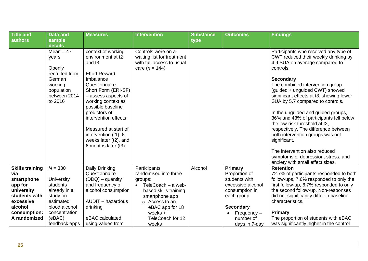| <b>Title and</b>       | <b>Data and</b>                                                                                                | <b>Measures</b>                                                                                                                                                                                                                                                                                                                                         | <b>Intervention</b>                                                                                  | <b>Substance</b> | <b>Outcomes</b>                | <b>Findings</b>                                                                                                                                                                                                                                                                                                                                                                                                                                                                                                                                                                                                                |
|------------------------|----------------------------------------------------------------------------------------------------------------|---------------------------------------------------------------------------------------------------------------------------------------------------------------------------------------------------------------------------------------------------------------------------------------------------------------------------------------------------------|------------------------------------------------------------------------------------------------------|------------------|--------------------------------|--------------------------------------------------------------------------------------------------------------------------------------------------------------------------------------------------------------------------------------------------------------------------------------------------------------------------------------------------------------------------------------------------------------------------------------------------------------------------------------------------------------------------------------------------------------------------------------------------------------------------------|
| <b>authors</b>         | sample<br>details                                                                                              |                                                                                                                                                                                                                                                                                                                                                         |                                                                                                      | type             |                                |                                                                                                                                                                                                                                                                                                                                                                                                                                                                                                                                                                                                                                |
|                        | $Mean = 47$<br>years<br>Openly<br>recruited from<br>German<br>working<br>population<br>between 2014<br>to 2016 | context of working<br>environment at t2<br>and t <sub>3</sub><br><b>Effort Reward</b><br>Imbalance<br>Questionnaire -<br>Short Form (ERI-SF)<br>- assess aspects of<br>working context as<br>possible baseline<br>predictors of<br>intervention effects<br>Measured at start of<br>intervention (t1), 6<br>weeks later (t2), and<br>6 months later (t3) | Controls were on a<br>waiting list for treatment<br>with full access to usual<br>care ( $n = 144$ ). |                  |                                | Participants who received any type of<br>CWT reduced their weekly drinking by<br>4.9 SUA on average compared to<br>controls.<br><b>Secondary</b><br>The combined intervention group<br>(guided + unguided CWT) showed<br>significant effects at t3, showing lower<br>SUA by 5.7 compared to controls.<br>In the unguided and guided groups,<br>36% and 43% of participants fell below<br>the low-risk threshold at t2,<br>respectively. The difference between<br>both intervention groups was not<br>significant.<br>The intervention also reduced<br>symptoms of depression, stress, and<br>anxiety with small effect sizes. |
| <b>Skills training</b> | $N = 330$                                                                                                      | Daily Drinking                                                                                                                                                                                                                                                                                                                                          | Participants                                                                                         | Alcohol          | Primary                        | <b>Retention</b>                                                                                                                                                                                                                                                                                                                                                                                                                                                                                                                                                                                                               |
| via<br>smartphone      | University                                                                                                     | Questionnaire<br>$(DDQ)$ – quantity                                                                                                                                                                                                                                                                                                                     | randomised into three<br>groups:                                                                     |                  | Proportion of<br>students with | 72.7% of participants responded to both<br>follow-ups, 7.6% responded to only the                                                                                                                                                                                                                                                                                                                                                                                                                                                                                                                                              |
| app for                | students                                                                                                       | and frequency of                                                                                                                                                                                                                                                                                                                                        | TeleCoach - a web-<br>$\bullet$                                                                      |                  | excessive alcohol              | first follow-up, 6.7% responded to only                                                                                                                                                                                                                                                                                                                                                                                                                                                                                                                                                                                        |
| university             | already in a                                                                                                   | alcohol consumption                                                                                                                                                                                                                                                                                                                                     | based skills training                                                                                |                  | consumption in                 | the second follow-up. Non-responses                                                                                                                                                                                                                                                                                                                                                                                                                                                                                                                                                                                            |
| students with          | study on                                                                                                       |                                                                                                                                                                                                                                                                                                                                                         | smartphone app                                                                                       |                  | each group                     | did not significantly differ in baseline                                                                                                                                                                                                                                                                                                                                                                                                                                                                                                                                                                                       |
| excessive              | estimated                                                                                                      | AUDIT - hazardous                                                                                                                                                                                                                                                                                                                                       | $\circ$ Access to an                                                                                 |                  |                                | characteristics.                                                                                                                                                                                                                                                                                                                                                                                                                                                                                                                                                                                                               |
| alcohol                | blood alcohol                                                                                                  | drinking                                                                                                                                                                                                                                                                                                                                                | eBAC app for 18                                                                                      |                  | <b>Secondary</b>               |                                                                                                                                                                                                                                                                                                                                                                                                                                                                                                                                                                                                                                |
| consumption:           | concentration                                                                                                  |                                                                                                                                                                                                                                                                                                                                                         | weeks $+$                                                                                            |                  | $Frequency -$                  | <b>Primary</b>                                                                                                                                                                                                                                                                                                                                                                                                                                                                                                                                                                                                                 |
| A randomized           | (eBAC)                                                                                                         | eBAC calculated                                                                                                                                                                                                                                                                                                                                         | TeleCoach for 12                                                                                     |                  | number of                      | The proportion of students with eBAC                                                                                                                                                                                                                                                                                                                                                                                                                                                                                                                                                                                           |
|                        | feedback apps                                                                                                  | using values from                                                                                                                                                                                                                                                                                                                                       | weeks                                                                                                |                  | days in 7-day                  | was significantly higher in the control                                                                                                                                                                                                                                                                                                                                                                                                                                                                                                                                                                                        |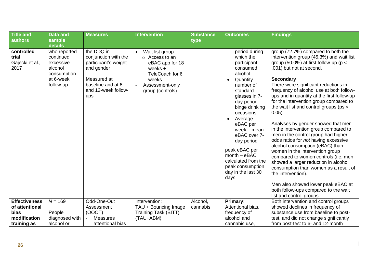| <b>Title and</b><br>authors                    | <b>Data and</b><br>sample                                                                  | <b>Measures</b>                                                                                                                             | <b>Intervention</b>                                                                                                                               | <b>Substance</b><br>type | <b>Outcomes</b>                                                                                                                                                                                                                                                                                                                                                      | <b>Findings</b>                                                                                                                                                                                                                                                                                                                                                                                                                                                                                                                                                                                                                                                                                                                                                                                                                                                                                            |
|------------------------------------------------|--------------------------------------------------------------------------------------------|---------------------------------------------------------------------------------------------------------------------------------------------|---------------------------------------------------------------------------------------------------------------------------------------------------|--------------------------|----------------------------------------------------------------------------------------------------------------------------------------------------------------------------------------------------------------------------------------------------------------------------------------------------------------------------------------------------------------------|------------------------------------------------------------------------------------------------------------------------------------------------------------------------------------------------------------------------------------------------------------------------------------------------------------------------------------------------------------------------------------------------------------------------------------------------------------------------------------------------------------------------------------------------------------------------------------------------------------------------------------------------------------------------------------------------------------------------------------------------------------------------------------------------------------------------------------------------------------------------------------------------------------|
|                                                | details                                                                                    |                                                                                                                                             |                                                                                                                                                   |                          |                                                                                                                                                                                                                                                                                                                                                                      |                                                                                                                                                                                                                                                                                                                                                                                                                                                                                                                                                                                                                                                                                                                                                                                                                                                                                                            |
| controlled<br>trial<br>Gajecki et al.,<br>2017 | who reported<br>continued<br>excessive<br>alcohol<br>consumption<br>at 6-week<br>follow-up | the DDQ in<br>conjunction with the<br>participant's weight<br>and gender<br>Measured at<br>baseline and at 6-<br>and 12-week follow-<br>ups | Wait list group<br>$\bullet$<br>o Access to an<br>eBAC app for 18<br>weeks $+$<br>TeleCoach for 6<br>weeks<br>Assessment-only<br>group (controls) |                          | period during<br>which the<br>participant<br>consumed<br>alcohol<br>Quantity -<br>number of<br>standard<br>glasses in 7-<br>day period<br>binge drinking<br>occasions<br>Average<br>$\bullet$<br>eBAC per<br>week $-$ mean<br>eBAC over 7-<br>day period<br>peak eBAC per<br>$month - eBAC$<br>calculated from the<br>peak consumption<br>day in the last 30<br>days | group (72.7%) compared to both the<br>intervention group (45.3%) and wait list<br>group (50.0%) at first follow-up ( $p <$<br>.001) but not at second.<br><b>Secondary</b><br>There were significant reductions in<br>frequency of alcohol use at both follow-<br>ups and in quantity at the first follow-up<br>for the intervention group compared to<br>the wait list and control groups (ps <<br>$0.05$ ).<br>Analyses by gender showed that men<br>in the intervention group compared to<br>men in the control group had higher<br>odds ratios for not having excessive<br>alcohol consumption (eBAC) than<br>women in the intervention group<br>compared to women controls (i.e. men<br>showed a larger reduction in alcohol<br>consumption than women as a result of<br>the intervention).<br>Men also showed lower peak eBAC at<br>both follow-ups compared to the wait<br>list and control groups. |
| <b>Effectiveness</b>                           | $N = 169$                                                                                  | Odd-One-Out                                                                                                                                 | Intervention:                                                                                                                                     | Alcohol,                 | Primary:                                                                                                                                                                                                                                                                                                                                                             | Both intervention and control groups                                                                                                                                                                                                                                                                                                                                                                                                                                                                                                                                                                                                                                                                                                                                                                                                                                                                       |
| of attentional                                 |                                                                                            | Assessment                                                                                                                                  | TAU + Bouncing Image                                                                                                                              | cannabis                 | Attentional bias,                                                                                                                                                                                                                                                                                                                                                    | showed declines in frequency of                                                                                                                                                                                                                                                                                                                                                                                                                                                                                                                                                                                                                                                                                                                                                                                                                                                                            |
| <b>bias</b>                                    | People                                                                                     | (OOOT)                                                                                                                                      | Training Task (BITT)                                                                                                                              |                          | frequency of                                                                                                                                                                                                                                                                                                                                                         | substance use from baseline to post-                                                                                                                                                                                                                                                                                                                                                                                                                                                                                                                                                                                                                                                                                                                                                                                                                                                                       |
| modification                                   | diagnosed with                                                                             | <b>Measures</b>                                                                                                                             | (TAU+ABM)                                                                                                                                         |                          | alcohol and                                                                                                                                                                                                                                                                                                                                                          | test, and did not change significantly                                                                                                                                                                                                                                                                                                                                                                                                                                                                                                                                                                                                                                                                                                                                                                                                                                                                     |
| training as                                    | alcohol or                                                                                 | attentional bias                                                                                                                            |                                                                                                                                                   |                          | cannabis use.                                                                                                                                                                                                                                                                                                                                                        | from post-test to 6- and 12-month                                                                                                                                                                                                                                                                                                                                                                                                                                                                                                                                                                                                                                                                                                                                                                                                                                                                          |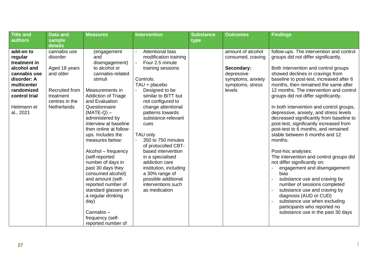| <b>Title and</b>                                                                                                                                             | <b>Data and</b>                                                                                                                      | <b>Measures</b>                                                                                                                                                                                                                                                                                                                                                                                                                                                                                                                                                       | <b>Intervention</b>                                                                                                                                                                                                                                                                                                                                                                                                                                                                         | <b>Substance</b> | <b>Outcomes</b>                                                                                                       | <b>Findings</b>                                                                                                                                                                                                                                                                                                                                                                                                                                                                                                                                                                                                                                                                                                                                                                                                                                                                                                                                                              |
|--------------------------------------------------------------------------------------------------------------------------------------------------------------|--------------------------------------------------------------------------------------------------------------------------------------|-----------------------------------------------------------------------------------------------------------------------------------------------------------------------------------------------------------------------------------------------------------------------------------------------------------------------------------------------------------------------------------------------------------------------------------------------------------------------------------------------------------------------------------------------------------------------|---------------------------------------------------------------------------------------------------------------------------------------------------------------------------------------------------------------------------------------------------------------------------------------------------------------------------------------------------------------------------------------------------------------------------------------------------------------------------------------------|------------------|-----------------------------------------------------------------------------------------------------------------------|------------------------------------------------------------------------------------------------------------------------------------------------------------------------------------------------------------------------------------------------------------------------------------------------------------------------------------------------------------------------------------------------------------------------------------------------------------------------------------------------------------------------------------------------------------------------------------------------------------------------------------------------------------------------------------------------------------------------------------------------------------------------------------------------------------------------------------------------------------------------------------------------------------------------------------------------------------------------------|
| authors                                                                                                                                                      | sample<br>details                                                                                                                    |                                                                                                                                                                                                                                                                                                                                                                                                                                                                                                                                                                       |                                                                                                                                                                                                                                                                                                                                                                                                                                                                                             | type             |                                                                                                                       |                                                                                                                                                                                                                                                                                                                                                                                                                                                                                                                                                                                                                                                                                                                                                                                                                                                                                                                                                                              |
| add-on to<br>regular<br>treatment in<br>alcohol and<br>cannabis use<br>disorder: A<br>multicenter<br>randomized<br>control trial<br>Heitmann et<br>al., 2021 | cannabis use<br>disorder<br>Aged 18 years<br>and older<br><b>Recruited from</b><br>treatment<br>centres in the<br><b>Netherlands</b> | (engagement<br>and<br>disengagement)<br>to alcohol or<br>cannabis-related<br>stimuli<br>Measurements in<br><b>Addiction of Triage</b><br>and Evaluation<br>Questionnaire<br>$(MATE-Q)$ –<br>administered by<br>interview at baseline<br>then online at follow-<br>ups. Includes the<br>measures below:<br>Alcohol - frequency<br>(self-reported<br>number of days in<br>past 30 days they<br>consumed alcohol)<br>and amount (self-<br>reported number of<br>standard glasses on<br>a regular drinking<br>day)<br>Cannabis-<br>frequency (self-<br>reported number of | <b>Attentional bias</b><br>modification training<br>Four 2.5 minute<br>training sessions<br>Controls:<br>TAU + placebo<br>Designed to be<br>similar to BITT but<br>not configured to<br>change attentional<br>patterns towards<br>substance-relevant<br>cues<br>TAU only<br>350 to 750 minutes<br>of protocolled CBT-<br>based intervention<br>in a specialised<br>addiction care<br>institution, including<br>a 30% range of<br>possible additional<br>interventions such<br>as medication |                  | amount of alcohol<br>consumed, craving<br>Secondary:<br>depressive<br>symptoms, anxiety<br>symptoms, stress<br>levels | follow-ups. The intervention and control<br>groups did not differ significantly.<br>Both intervention and control groups<br>showed declines in cravings from<br>baseline to post-test, increased after 6<br>months, then remained the same after<br>12 months. The intervention and control<br>groups did not differ significantly.<br>In both intervention and control groups,<br>depressive, anxiety, and stress levels<br>decreased significantly from baseline to<br>post-test, significantly increased from<br>post-test to 6 months, and remained<br>stable between 6 months and 12<br>months.<br>Post-hoc analyses:<br>The intervention and control groups did<br>not differ significantly on:<br>engagement and disengagement<br>bias<br>substance use and craving by<br>number of sessions completed<br>substance use and craving by<br>diagnosis (AUD or CUD)<br>substance use when excluding<br>participants who reported no<br>substance use in the past 30 days |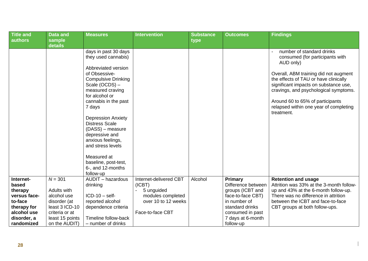| <b>Title and</b><br>authors                                                                                         | <b>Data and</b><br>sample                                                                                                       | <b>Measures</b>                                                                                                                                                                                                                                                                                                                                                                                                            | <b>Intervention</b>                                                                                            | <b>Substance</b><br>type | <b>Outcomes</b>                                                                                                                                                 | <b>Findings</b>                                                                                                                                                                                                                                                                                                                           |
|---------------------------------------------------------------------------------------------------------------------|---------------------------------------------------------------------------------------------------------------------------------|----------------------------------------------------------------------------------------------------------------------------------------------------------------------------------------------------------------------------------------------------------------------------------------------------------------------------------------------------------------------------------------------------------------------------|----------------------------------------------------------------------------------------------------------------|--------------------------|-----------------------------------------------------------------------------------------------------------------------------------------------------------------|-------------------------------------------------------------------------------------------------------------------------------------------------------------------------------------------------------------------------------------------------------------------------------------------------------------------------------------------|
|                                                                                                                     | details                                                                                                                         |                                                                                                                                                                                                                                                                                                                                                                                                                            |                                                                                                                |                          |                                                                                                                                                                 |                                                                                                                                                                                                                                                                                                                                           |
|                                                                                                                     |                                                                                                                                 | days in past 30 days<br>they used cannabis)<br>Abbreviated version<br>of Obsessive-<br><b>Compulsive Drinking</b><br>Scale (OCDS) -<br>measured craving<br>for alcohol or<br>cannabis in the past<br>7 days<br><b>Depression Anxiety</b><br><b>Distress Scale</b><br>(DASS) - measure<br>depressive and<br>anxious feelings,<br>and stress levels<br>Measured at<br>baseline, post-test,<br>6-, and 12-months<br>follow-up |                                                                                                                |                          |                                                                                                                                                                 | number of standard drinks<br>consumed (for participants with<br>AUD only)<br>Overall, ABM training did not augment<br>the effects of TAU or have clinically<br>significant impacts on substance use,<br>cravings, and psychological symptoms.<br>Around 60 to 65% of participants<br>relapsed within one year of completing<br>treatment. |
| Internet-<br>based<br>therapy<br>versus face-<br>to-face<br>therapy for<br>alcohol use<br>disorder, a<br>randomized | $N = 301$<br>Adults with<br>alcohol use<br>disorder (at<br>least 3 ICD-10<br>criteria or at<br>least 15 points<br>on the AUDIT) | <b>AUDIT</b> - hazardous<br>drinking<br>$ICD-10 - self-$<br>reported alcohol<br>dependence criteria<br>Timeline follow-back<br>- number of drinks                                                                                                                                                                                                                                                                          | Internet-delivered CBT<br>(ICBT)<br>5 unguided<br>modules completed<br>over 10 to 12 weeks<br>Face-to-face CBT | Alcohol                  | Primary<br>Difference between<br>groups (ICBT and<br>face-to-face CBT)<br>in number of<br>standard drinks<br>consumed in past<br>7 days at 6-month<br>follow-up | <b>Retention and usage</b><br>Attrition was 33% at the 3-month follow-<br>up and 43% at the 6-month follow-up.<br>There was no difference in attrition<br>between the ICBT and face-to-face<br>CBT groups at both follow-ups.                                                                                                             |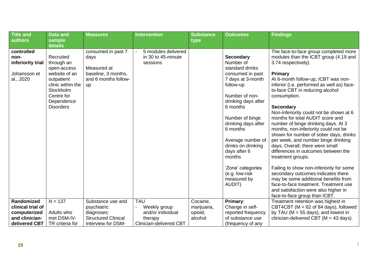| <b>Title and</b>                                                     | <b>Data and</b>                                                                                                                                         | <b>Measures</b>                                                                                | <b>Intervention</b>                                   | <b>Substance</b> | <b>Outcomes</b>                                                                                                                                                                                                                                                                                                                                               | <b>Findings</b>                                                                                                                                                                                                                                                                                                                                                                                                                                                                                                                                                                                                                                                                                                                                                                                                                       |
|----------------------------------------------------------------------|---------------------------------------------------------------------------------------------------------------------------------------------------------|------------------------------------------------------------------------------------------------|-------------------------------------------------------|------------------|---------------------------------------------------------------------------------------------------------------------------------------------------------------------------------------------------------------------------------------------------------------------------------------------------------------------------------------------------------------|---------------------------------------------------------------------------------------------------------------------------------------------------------------------------------------------------------------------------------------------------------------------------------------------------------------------------------------------------------------------------------------------------------------------------------------------------------------------------------------------------------------------------------------------------------------------------------------------------------------------------------------------------------------------------------------------------------------------------------------------------------------------------------------------------------------------------------------|
| authors                                                              | sample<br>details                                                                                                                                       |                                                                                                |                                                       | type             |                                                                                                                                                                                                                                                                                                                                                               |                                                                                                                                                                                                                                                                                                                                                                                                                                                                                                                                                                                                                                                                                                                                                                                                                                       |
| controlled<br>non-<br>inferiority trial<br>Johansson et<br>al., 2020 | Recruited<br>through an<br>open-access<br>website of an<br>outpatient<br>clinic within the<br>Stockholm<br>Centre for<br>Dependence<br><b>Disorders</b> | consumed in past 7<br>days<br>Measured at<br>baseline, 3 months,<br>and 6 months follow-<br>up | 5 modules delivered<br>in 30 to 45-minute<br>sessions |                  | <b>Secondary</b><br>Number of<br>standard drinks<br>consumed in past<br>7 days at 3-month<br>follow-up<br>Number of non-<br>drinking days after<br>6 months<br>Number of binge<br>drinking days after<br>6 months<br>Average number of<br>drinks on drinking<br>days after 6<br>months<br>'Zone' categories<br>(e.g. low-risk<br>measured by<br><b>AUDIT)</b> | The face-to-face group completed more<br>modules than the ICBT group (4.19 and<br>3.74 respectively).<br>Primary<br>At 6-month follow-up, ICBT was non-<br>inferior (i.e. performed as well as) face-<br>to-face CBT in reducing alcohol<br>consumption.<br><b>Secondary</b><br>Non-inferiority could not be shown at 6<br>months for total AUDIT score and<br>number of binge drinking days. At 3<br>months, non-inferiority could not be<br>shown for number of sober days, drinks<br>per week, and number binge drinking<br>days. Overall, there were small<br>differences in outcomes between the<br>treatment groups.<br>Failing to show non-inferiority for some<br>secondary outcomes indicates there<br>may be some additional benefits from<br>face-to-face treatment. Treatment use<br>and satisfaction were also higher in |
| Randomized                                                           | $N = 137$                                                                                                                                               | Substance use and                                                                              | <b>TAU</b>                                            | Cocaine,         | Primary:                                                                                                                                                                                                                                                                                                                                                      | face-to-face group than ICBT.<br>Treatment retention was highest in                                                                                                                                                                                                                                                                                                                                                                                                                                                                                                                                                                                                                                                                                                                                                                   |
| clinical trial of                                                    |                                                                                                                                                         | psychiatric                                                                                    | Weekly group                                          | marijuana,       | Change in self-                                                                                                                                                                                                                                                                                                                                               | CBT4CBT (M = 62 of 84 days), followed                                                                                                                                                                                                                                                                                                                                                                                                                                                                                                                                                                                                                                                                                                                                                                                                 |
| computerized                                                         | Adults who                                                                                                                                              | diagnoses:                                                                                     | and/or individual                                     | opioid,          | reported frequency                                                                                                                                                                                                                                                                                                                                            | by TAU ( $M = 55$ days), and lowest in                                                                                                                                                                                                                                                                                                                                                                                                                                                                                                                                                                                                                                                                                                                                                                                                |
| and clinician-                                                       | met DSM-IV-                                                                                                                                             | <b>Structured Clinical</b>                                                                     | therapy                                               | alcohol          | of substance use                                                                                                                                                                                                                                                                                                                                              | clinician-delivered CBT ( $M = 43$ days).                                                                                                                                                                                                                                                                                                                                                                                                                                                                                                                                                                                                                                                                                                                                                                                             |
| delivered CBT                                                        | TR criteria for                                                                                                                                         | Interview for DSM-                                                                             | Clinician-delivered CBT                               |                  | (frequency of any                                                                                                                                                                                                                                                                                                                                             |                                                                                                                                                                                                                                                                                                                                                                                                                                                                                                                                                                                                                                                                                                                                                                                                                                       |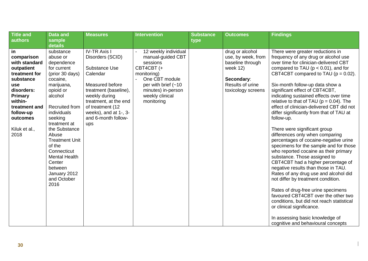| <b>Title and</b> | <b>Data and</b>         | <b>Measures</b>                              | <b>Intervention</b>   | <b>Substance</b> | <b>Outcomes</b>    | <b>Findings</b>                             |
|------------------|-------------------------|----------------------------------------------|-----------------------|------------------|--------------------|---------------------------------------------|
| authors          | sample                  |                                              |                       | type             |                    |                                             |
|                  | details                 |                                              |                       |                  |                    |                                             |
| in               | substance               | <b>IV-TR Axis I</b>                          | 12 weekly individual  |                  | drug or alcohol    | There were greater reductions in            |
| comparison       | abuse or                | Disorders (SCID)                             | manual-guided CBT     |                  | use, by week, from | frequency of any drug or alcohol use        |
| with standard    | dependence              |                                              | sessions              |                  | baseline through   | over time for clinician-delivered CBT       |
| outpatient       | for current             | Substance Use                                | CBT4CBT (+            |                  | week 12)           | compared to TAU ( $p < 0.01$ ), and for     |
| treatment for    | (prior 30 days)         | Calendar                                     | monitoring)           |                  |                    | CBT4CBT compared to TAU ( $p = 0.02$ ).     |
| substance        | cocaine,                |                                              | One CBT module        |                  | Secondary:         |                                             |
| use              | marijuana,              | Measured before                              | per with brief $(-10$ |                  | Results of urine   | Six-month follow-up data show a             |
| disorders:       | opioid or               | treatment (baseline),                        | minutes) in-person    |                  | toxicology screens | significant effect of CBT4CBT,              |
| Primary          | alcohol                 | weekly during                                | weekly clinical       |                  |                    | indicating sustained effects over time      |
| within-          |                         | treatment, at the end                        | monitoring            |                  |                    | relative to that of TAU ( $p = 0.04$ ). The |
| treatment and    | <b>Recruited from</b>   | of treatment (12                             |                       |                  |                    | effect of clinician-delivered CBT did not   |
| follow-up        | individuals             | weeks), and at 1-, 3-<br>and 6-month follow- |                       |                  |                    | differ significantly from that of TAU at    |
| outcomes         | seeking<br>treatment at |                                              |                       |                  |                    | follow-up.                                  |
| Kiluk et al.,    | the Substance           | ups                                          |                       |                  |                    | There were significant group                |
| 2018             | Abuse                   |                                              |                       |                  |                    | differences only when comparing             |
|                  | <b>Treatment Unit</b>   |                                              |                       |                  |                    | percentages of cocaine-negative urine       |
|                  | of the                  |                                              |                       |                  |                    | specimens for the sample and for those      |
|                  | Connecticut             |                                              |                       |                  |                    | who reported cocaine as their primary       |
|                  | <b>Mental Health</b>    |                                              |                       |                  |                    | substance. Those assigned to                |
|                  | Center                  |                                              |                       |                  |                    | CBT4CBT had a higher percentage of          |
|                  | between                 |                                              |                       |                  |                    | negative results than those in TAU.         |
|                  | January 2012            |                                              |                       |                  |                    | Rates of any drug use and alcohol did       |
|                  | and October             |                                              |                       |                  |                    | not differ by treatment condition.          |
|                  | 2016                    |                                              |                       |                  |                    |                                             |
|                  |                         |                                              |                       |                  |                    | Rates of drug-free urine specimens          |
|                  |                         |                                              |                       |                  |                    | favoured CBT4CBT over the other two         |
|                  |                         |                                              |                       |                  |                    | conditions, but did not reach statistical   |
|                  |                         |                                              |                       |                  |                    | or clinical significance.                   |
|                  |                         |                                              |                       |                  |                    |                                             |
|                  |                         |                                              |                       |                  |                    | In assessing basic knowledge of             |
|                  |                         |                                              |                       |                  |                    | cognitive and behavioural concepts          |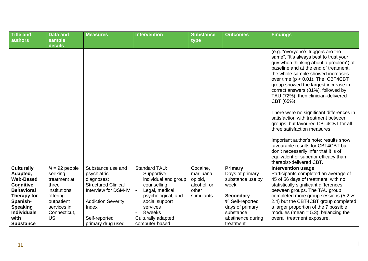| <b>Title and</b>                                                                    | <b>Data and</b>                                                     | <b>Measures</b>                                                                                      | <b>Intervention</b>                                                       | <b>Substance</b>                                          | <b>Outcomes</b>                                        | <b>Findings</b>                                                                                                                                                                                                                                                                                                                                                                                                                                                                                                                                                                                                                                                                                                                         |
|-------------------------------------------------------------------------------------|---------------------------------------------------------------------|------------------------------------------------------------------------------------------------------|---------------------------------------------------------------------------|-----------------------------------------------------------|--------------------------------------------------------|-----------------------------------------------------------------------------------------------------------------------------------------------------------------------------------------------------------------------------------------------------------------------------------------------------------------------------------------------------------------------------------------------------------------------------------------------------------------------------------------------------------------------------------------------------------------------------------------------------------------------------------------------------------------------------------------------------------------------------------------|
| authors                                                                             | sample<br>details                                                   |                                                                                                      |                                                                           | type                                                      |                                                        |                                                                                                                                                                                                                                                                                                                                                                                                                                                                                                                                                                                                                                                                                                                                         |
|                                                                                     |                                                                     |                                                                                                      |                                                                           |                                                           |                                                        | (e.g. "everyone's triggers are the<br>same", "it's always best to trust your<br>guy when thinking about a problem") at<br>baseline and at the end of treatment,<br>the whole sample showed increases<br>over time ( $p < 0.01$ ). The CBT4CBT<br>group showed the largest increase in<br>correct answers (81%), followed by<br>TAU (72%), then clinician-delivered<br>CBT (65%).<br>There were no significant differences in<br>satisfaction with treatment between<br>groups, but favoured CBT4CBT for all<br>three satisfaction measures.<br>Important author's note: results show<br>favourable results for CBT4CBT but<br>don't necessarily infer that it is of<br>equivalent or superior efficacy than<br>therapist-delivered CBT. |
| <b>Culturally</b><br>Adapted,<br><b>Web-Based</b><br>Cognitive<br><b>Behavioral</b> | $N = 92$ people<br>seeking<br>treatment at<br>three<br>institutions | Substance use and<br>psychiatric<br>diagnoses:<br><b>Structured Clinical</b><br>Interview for DSM-IV | <b>Standard TAU:</b><br>Supportive<br>individual and group<br>counselling | Cocaine,<br>marijuana,<br>opioid,<br>alcohol, or<br>other | Primary<br>Days of primary<br>substance use by<br>week | <b>Intervention usage</b><br>Participants completed an average of<br>45 of 56 days of treatment, with no<br>statistically significant differences<br>between groups. The TAU group                                                                                                                                                                                                                                                                                                                                                                                                                                                                                                                                                      |
| Therapy for<br>Spanish-                                                             | offering<br>outpatient                                              | <b>Addiction Severity</b>                                                                            | Legal, medical,<br>psychological, and<br>social support                   | stimulants                                                | <b>Secondary</b><br>% Self-reported                    | completed more group sessions (5.2 vs<br>2.4) but the CBT4CBT group completed                                                                                                                                                                                                                                                                                                                                                                                                                                                                                                                                                                                                                                                           |
| <b>Speaking</b><br><b>Individuals</b>                                               | services in<br>Connecticut,<br><b>US</b>                            | Index                                                                                                | services<br>8 weeks                                                       |                                                           | days of primary<br>substance                           | a larger proportion of the 7 possible<br>modules (mean $=$ 5.3), balancing the                                                                                                                                                                                                                                                                                                                                                                                                                                                                                                                                                                                                                                                          |
| with<br><b>Substance</b>                                                            |                                                                     | Self-reported<br>primary drug used                                                                   | Culturally adapted<br>computer-based                                      |                                                           | abstinence during<br>treatment                         | overall treatment exposure.                                                                                                                                                                                                                                                                                                                                                                                                                                                                                                                                                                                                                                                                                                             |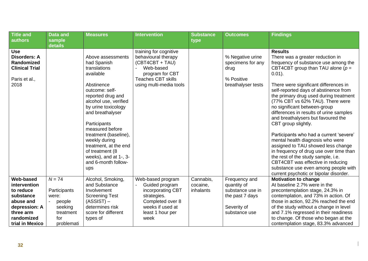| <b>Title and</b>                                                                                                                | <b>Data and</b>                                                                          | <b>Measures</b>                                                                                                                                                                                                                                                                                                                                                        | <b>Intervention</b>                                                                                                                                      | <b>Substance</b>                   | <b>Outcomes</b>                                                                                     | <b>Findings</b>                                                                                                                                                                                                                                                                                                                                                                                                                                                                                                                                                                                                                                                                                                                                                                      |
|---------------------------------------------------------------------------------------------------------------------------------|------------------------------------------------------------------------------------------|------------------------------------------------------------------------------------------------------------------------------------------------------------------------------------------------------------------------------------------------------------------------------------------------------------------------------------------------------------------------|----------------------------------------------------------------------------------------------------------------------------------------------------------|------------------------------------|-----------------------------------------------------------------------------------------------------|--------------------------------------------------------------------------------------------------------------------------------------------------------------------------------------------------------------------------------------------------------------------------------------------------------------------------------------------------------------------------------------------------------------------------------------------------------------------------------------------------------------------------------------------------------------------------------------------------------------------------------------------------------------------------------------------------------------------------------------------------------------------------------------|
| authors                                                                                                                         | sample<br>details                                                                        |                                                                                                                                                                                                                                                                                                                                                                        |                                                                                                                                                          | type                               |                                                                                                     |                                                                                                                                                                                                                                                                                                                                                                                                                                                                                                                                                                                                                                                                                                                                                                                      |
| <b>Use</b><br><b>Disorders: A</b><br>Randomized<br><b>Clinical Trial</b><br>Paris et al.,<br>2018                               |                                                                                          | Above assessments<br>had Spanish<br>translations<br>available<br>Abstinence<br>outcome: self-<br>reported drug and<br>alcohol use, verified<br>by urine toxicology<br>and breathalyser<br>Participants<br>measured before<br>treatment (baseline),<br>weekly during<br>treatment, at the end<br>of treatment (8<br>weeks), and at 1-, 3-<br>and 6-month follow-<br>ups | training for cognitive<br>behavioural therapy<br>(CBT4CBT + TAU)<br>Web-based<br>program for CBT<br><b>Teaches CBT skills</b><br>using multi-media tools |                                    | % Negative urine<br>specimens for any<br>drug<br>% Positive<br>breathalyser tests                   | <b>Results</b><br>There was a greater reduction in<br>frequency of substance use among the<br>CBT4CBT group than TAU alone ( $p =$<br>$0.01$ ).<br>There were significant differences in<br>self-reported days of abstinence from<br>the primary drug used during treatment<br>(77% CBT vs 62% TAU). There were<br>no significant between-group<br>differences in results of urine samples<br>and breathalysers but favoured the<br>CBT group slightly.<br>Participants who had a current 'severe'<br>mental health diagnosis who were<br>assigned to TAU showed less change<br>in frequency of drug use over time than<br>the rest of the study sample, i.e.<br>CBT4CBT was effective in reducing<br>substance use even among people with<br>current psychotic or bipolar disorder. |
| Web-based<br>intervention<br>to reduce<br>substance<br>abuse and<br>depression: A<br>three arm<br>randomized<br>trial in Mexico | $N = 74$<br>Participants<br>were:<br>people<br>seeking<br>treatment<br>for<br>problemati | Alcohol, Smoking,<br>and Substance<br>Involvement<br><b>Screening Test</b><br>$(ASSIST)$ –<br>determines risk<br>score for different<br>types of                                                                                                                                                                                                                       | Web-based program<br>Guided program<br>incorporating CBT<br>strategies.<br>Completed over 8<br>weeks if used at<br>least 1 hour per<br>week              | Cannabis,<br>cocaine,<br>inhalants | Frequency and<br>quantity of<br>substance use in<br>the past 7 days<br>Severity of<br>substance use | <b>Motivation to change</b><br>At baseline 2.7% were in the<br>precontemplation stage, 24.3% in<br>contemplation, and 73% in action. Of<br>those in action, 92.2% reached the end<br>of the study without a change in level<br>and 7.1% regressed in their readiness<br>to change. Of those who began at the<br>contemplation stage, 83.3% advanced                                                                                                                                                                                                                                                                                                                                                                                                                                  |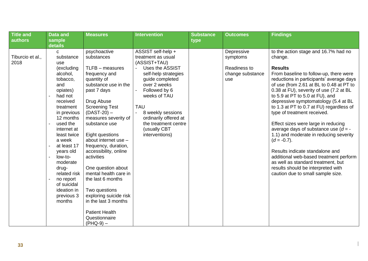| <b>Title and</b>         | <b>Data and</b>                                                                                                                                                                                                                                                                                                                                                                                  | <b>Measures</b>                                                                                                                                                                                                                                                                                                                                                                                                                                                                                   | <b>Intervention</b>                                                                                                                                                                                                                                                                           | <b>Substance</b> | <b>Outcomes</b>                                                   | <b>Findings</b>                                                                                                                                                                                                                                                                                                                                                                                                                                                                                                                                                                                                                                                                                                                                 |
|--------------------------|--------------------------------------------------------------------------------------------------------------------------------------------------------------------------------------------------------------------------------------------------------------------------------------------------------------------------------------------------------------------------------------------------|---------------------------------------------------------------------------------------------------------------------------------------------------------------------------------------------------------------------------------------------------------------------------------------------------------------------------------------------------------------------------------------------------------------------------------------------------------------------------------------------------|-----------------------------------------------------------------------------------------------------------------------------------------------------------------------------------------------------------------------------------------------------------------------------------------------|------------------|-------------------------------------------------------------------|-------------------------------------------------------------------------------------------------------------------------------------------------------------------------------------------------------------------------------------------------------------------------------------------------------------------------------------------------------------------------------------------------------------------------------------------------------------------------------------------------------------------------------------------------------------------------------------------------------------------------------------------------------------------------------------------------------------------------------------------------|
| authors                  | sample                                                                                                                                                                                                                                                                                                                                                                                           |                                                                                                                                                                                                                                                                                                                                                                                                                                                                                                   |                                                                                                                                                                                                                                                                                               | type             |                                                                   |                                                                                                                                                                                                                                                                                                                                                                                                                                                                                                                                                                                                                                                                                                                                                 |
| Tiburcio et al.,<br>2018 | details<br>C<br>substance<br>use<br>(excluding<br>alcohol,<br>tobacco,<br>and<br>opiates)<br>had not<br>received<br>treatment<br>in previous<br>12 months<br>used the<br>$\blacksquare$<br>internet at<br>least twice<br>a week<br>at least 17<br>years old<br>low-to-<br>$\overline{a}$<br>moderate<br>drug-<br>related risk<br>no report<br>of suicidal<br>ideation in<br>previous 3<br>months | psychoactive<br>substances<br>$TLFB - measures$<br>frequency and<br>quantity of<br>substance use in the<br>past 7 days<br>Drug Abuse<br><b>Screening Test</b><br>$(DAST-20)$ –<br>measures severity of<br>substance use<br>Eight questions<br>about internet use -<br>frequency, duration,<br>accessibility, online<br>activities<br>One question about<br>mental health care in<br>the last 6 months<br>Two questions<br>exploring suicide risk<br>in the last 3 months<br><b>Patient Health</b> | ASSIST self-help +<br>treatment as usual<br>(ASSIST+TAU)<br>Uses the ASSIST<br>self-help strategies<br>guide completed<br>over 2 weeks<br>Followed by 6<br>weeks of TAU<br><b>TAU</b><br>8 weekly sessions<br>ordinarily offered at<br>the treatment centre<br>(usually CBT<br>interventions) |                  | Depressive<br>symptoms<br>Readiness to<br>change substance<br>use | to the action stage and 16.7% had no<br>change.<br><b>Results</b><br>From baseline to follow-up, there were<br>reductions in participants' average days<br>of use (from 2.61 at BL to 0.48 at PT to<br>0.38 at FU), severity of use (7.2 at BL<br>to 5.9 at PT to 5.0 at FU), and<br>depressive symptomatology (5.4 at BL<br>to 1.3 at PT to 0.7 at FU) regardless of<br>type of treatment received.<br>Effect sizes were large in reducing<br>average days of substance use $(d = -$<br>1.1) and moderate in reducing severity<br>$(d = -0.7)$ .<br>Results indicate standalone and<br>additional web-based treatment perform<br>as well as standard treatment, but<br>results should be interpreted with<br>caution due to small sample size. |
|                          |                                                                                                                                                                                                                                                                                                                                                                                                  | Questionnaire<br>$(PHQ-9)$ –                                                                                                                                                                                                                                                                                                                                                                                                                                                                      |                                                                                                                                                                                                                                                                                               |                  |                                                                   |                                                                                                                                                                                                                                                                                                                                                                                                                                                                                                                                                                                                                                                                                                                                                 |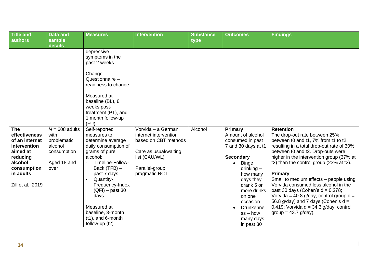| <b>Title and</b><br>authors                                                                                                                       | <b>Data and</b><br>sample                                                                           | <b>Measures</b>                                                                                                                                                                                                                                                                                                                                                                                                                                    | <b>Intervention</b>                                                                                                                              | <b>Substance</b><br>type | <b>Outcomes</b>                                                                                                                                                                                                      | <b>Findings</b>                                                                                                                                                                                                                                                                                                                                                                                                                                                                                                                                 |
|---------------------------------------------------------------------------------------------------------------------------------------------------|-----------------------------------------------------------------------------------------------------|----------------------------------------------------------------------------------------------------------------------------------------------------------------------------------------------------------------------------------------------------------------------------------------------------------------------------------------------------------------------------------------------------------------------------------------------------|--------------------------------------------------------------------------------------------------------------------------------------------------|--------------------------|----------------------------------------------------------------------------------------------------------------------------------------------------------------------------------------------------------------------|-------------------------------------------------------------------------------------------------------------------------------------------------------------------------------------------------------------------------------------------------------------------------------------------------------------------------------------------------------------------------------------------------------------------------------------------------------------------------------------------------------------------------------------------------|
| <b>The</b><br>effectiveness<br>of an internet<br>intervention<br>aimed at<br>reducing<br>alcohol<br>consumption<br>in adults<br>Zill et al., 2019 | details<br>$N = 608$ adults<br>with<br>problematic<br>alcohol<br>consumption<br>Aged 18 and<br>over | depressive<br>symptoms in the<br>past 2 weeks<br>Change<br>Questionnaire -<br>readiness to change<br>Measured at<br>baseline (BL), 8<br>weeks post-<br>treatment (PT), and<br>1 month follow-up<br>(FU)<br>Self-reported<br>measures to<br>determine average<br>daily consumption of<br>grams of pure<br>alcohol:<br>Timeline-Follow-<br>Back $(TFB)$ –<br>past 7 days<br>Quantity-<br>Frequency-Index<br>$(QFI)$ – past 30<br>days<br>Measured at | Vorvida - a German<br>internet intervention<br>based on CBT methods<br>Care as usual/waiting<br>list (CAU/WL)<br>Parallel-group<br>pragmatic RCT | Alcohol                  | Primary<br>Amount of alcohol<br>consumed in past<br>7 and 30 days at t1<br><b>Secondary</b><br><b>Binge</b><br>$drinking -$<br>how many<br>days they<br>drank 5 or<br>more drinks<br>on one<br>occasion<br>Drunkenne | <b>Retention</b><br>The drop-out rate between 25%<br>between t0 and t1, 7% from t1 to t2,<br>resulting in a total drop-out rate of 30%<br>between t0 and t2. Drop-outs were<br>higher in the intervention group (37% at<br>t2) than the control group (23% at t2).<br><b>Primary</b><br>Small to medium effects - people using<br>Vorvida consumed less alcohol in the<br>past 30 days (Cohen's $d = 0.278$ ;<br>Vorvida = 40.8 g/day, control group $d =$<br>56.8 g/day) and 7 days (Cohen's $d =$<br>0.419; Vorvida $d = 34.3$ g/day, control |
|                                                                                                                                                   |                                                                                                     | baseline, 3-month<br>$(t1)$ , and 6-month<br>follow-up $(t2)$                                                                                                                                                                                                                                                                                                                                                                                      |                                                                                                                                                  |                          | $ss - how$<br>many days<br>in past 30                                                                                                                                                                                | group = $43.7$ g/day).                                                                                                                                                                                                                                                                                                                                                                                                                                                                                                                          |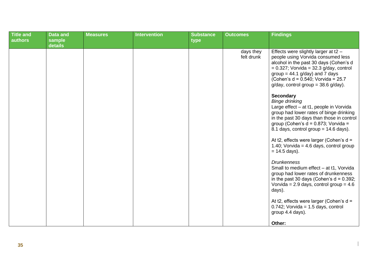| <b>Title and</b><br>authors | <b>Data and</b><br>sample | <b>Measures</b> | <b>Intervention</b> | <b>Substance</b><br>type | <b>Outcomes</b>         | <b>Findings</b>                                                                                                                                                                                                                                                                                                                                                                                                                                                                                                                                                                                                                                                                                                                                                                                                                                                                                                                                                                                             |
|-----------------------------|---------------------------|-----------------|---------------------|--------------------------|-------------------------|-------------------------------------------------------------------------------------------------------------------------------------------------------------------------------------------------------------------------------------------------------------------------------------------------------------------------------------------------------------------------------------------------------------------------------------------------------------------------------------------------------------------------------------------------------------------------------------------------------------------------------------------------------------------------------------------------------------------------------------------------------------------------------------------------------------------------------------------------------------------------------------------------------------------------------------------------------------------------------------------------------------|
|                             | details                   |                 |                     |                          | days they<br>felt drunk | Effects were slightly larger at t2 -<br>people using Vorvida consumed less<br>alcohol in the past 30 days (Cohen's d<br>$= 0.327$ ; Vorvida = 32.3 g/day, control<br>group = $44.1$ g/day) and 7 days<br>(Cohen's $d = 0.540$ ; Vorvida = 25.7<br>$g/day$ , control group = 38.6 $g/day$ ).<br><b>Secondary</b><br><b>Binge drinking</b><br>Large effect - at t1, people in Vorvida<br>group had lower rates of binge drinking<br>in the past 30 days than those in control<br>group (Cohen's $d = 0.873$ ; Vorvida =<br>8.1 days, control group = $14.6$ days).<br>At t2, effects were larger (Cohen's d =<br>1.40; Vorvida = 4.6 days, control group<br>$= 14.5$ days).<br><b>Drunkenness</b><br>Small to medium effect - at t1, Vorvida<br>group had lower rates of drunkenness<br>in the past 30 days (Cohen's $d = 0.392$ ;<br>Vorvida = $2.9$ days, control group = $4.6$<br>days).<br>At t2, effects were larger (Cohen's d =<br>$0.742$ ; Vorvida = 1.5 days, control<br>group 4.4 days).<br>Other: |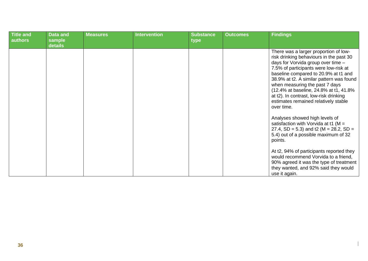| Title and<br>authors | <b>Data and</b><br>sample<br>details | <b>Measures</b> | <b>Intervention</b> | <b>Substance</b><br>type | <b>Outcomes</b> | <b>Findings</b>                                                                                                                                                                                                                                                                                                                                                                                                                  |
|----------------------|--------------------------------------|-----------------|---------------------|--------------------------|-----------------|----------------------------------------------------------------------------------------------------------------------------------------------------------------------------------------------------------------------------------------------------------------------------------------------------------------------------------------------------------------------------------------------------------------------------------|
|                      |                                      |                 |                     |                          |                 | There was a larger proportion of low-<br>risk drinking behaviours in the past 30<br>days for Vorvida group over time -<br>7.5% of participants were low-risk at<br>baseline compared to 20.9% at t1 and<br>38.9% at t2. A similar pattern was found<br>when measuring the past 7 days<br>(12.4% at baseline, 24.8% at t1, 41.8%)<br>at t2). In contrast, low-risk drinking<br>estimates remained relatively stable<br>over time. |
|                      |                                      |                 |                     |                          |                 | Analyses showed high levels of<br>satisfaction with Vorvida at t1 ( $M =$<br>27.4, SD = 5.3) and t2 (M = 28.2, SD =<br>5.4) out of a possible maximum of 32<br>points.                                                                                                                                                                                                                                                           |
|                      |                                      |                 |                     |                          |                 | At t2, 94% of participants reported they<br>would recommend Vorvida to a friend,<br>90% agreed it was the type of treatment<br>they wanted, and 92% said they would<br>use it again.                                                                                                                                                                                                                                             |